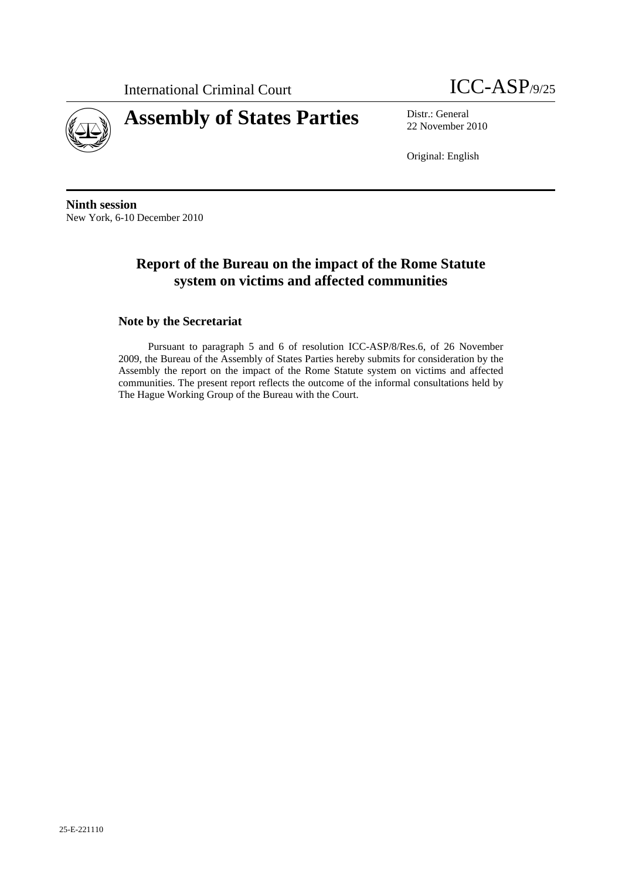



22 November 2010

Original: English

**Ninth session**  New York, 6-10 December 2010

## **Report of the Bureau on the impact of the Rome Statute system on victims and affected communities**

### **Note by the Secretariat**

Pursuant to paragraph 5 and 6 of resolution ICC-ASP/8/Res.6, of 26 November 2009, the Bureau of the Assembly of States Parties hereby submits for consideration by the Assembly the report on the impact of the Rome Statute system on victims and affected communities. The present report reflects the outcome of the informal consultations held by The Hague Working Group of the Bureau with the Court.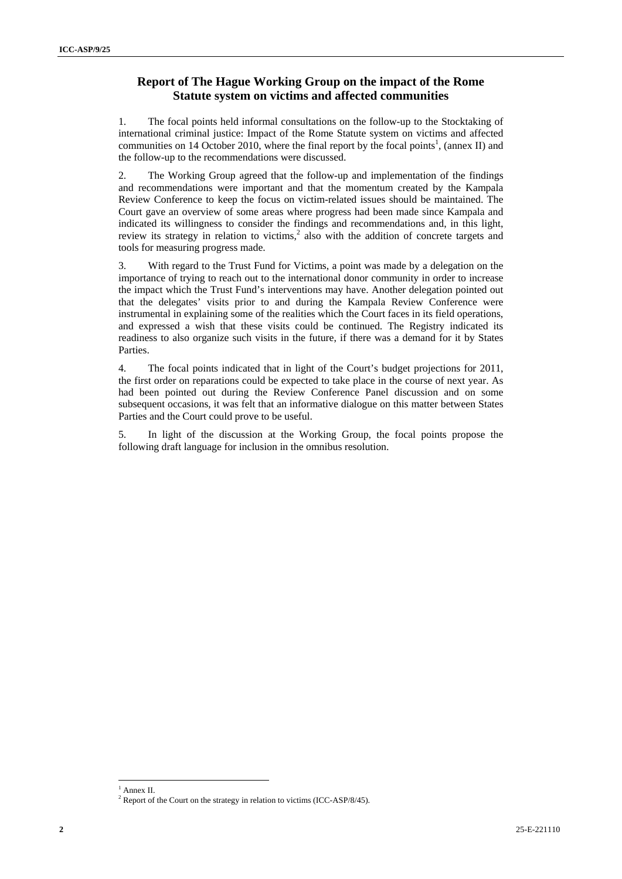## **Report of The Hague Working Group on the impact of the Rome Statute system on victims and affected communities**

1. The focal points held informal consultations on the follow-up to the Stocktaking of international criminal justice: Impact of the Rome Statute system on victims and affected communities on 14 October 2010, where the final report by the focal points<sup>1</sup>, (annex II) and the follow-up to the recommendations were discussed.

2. The Working Group agreed that the follow-up and implementation of the findings and recommendations were important and that the momentum created by the Kampala Review Conference to keep the focus on victim-related issues should be maintained. The Court gave an overview of some areas where progress had been made since Kampala and indicated its willingness to consider the findings and recommendations and, in this light, review its strategy in relation to victims,<sup>2</sup> also with the addition of concrete targets and tools for measuring progress made.

3. With regard to the Trust Fund for Victims, a point was made by a delegation on the importance of trying to reach out to the international donor community in order to increase the impact which the Trust Fund's interventions may have. Another delegation pointed out that the delegates' visits prior to and during the Kampala Review Conference were instrumental in explaining some of the realities which the Court faces in its field operations, and expressed a wish that these visits could be continued. The Registry indicated its readiness to also organize such visits in the future, if there was a demand for it by States Parties.

4. The focal points indicated that in light of the Court's budget projections for 2011, the first order on reparations could be expected to take place in the course of next year. As had been pointed out during the Review Conference Panel discussion and on some subsequent occasions, it was felt that an informative dialogue on this matter between States Parties and the Court could prove to be useful.

5. In light of the discussion at the Working Group, the focal points propose the following draft language for inclusion in the omnibus resolution.

<sup>&</sup>lt;sup>1</sup> Annex II.

 $2^2$  Report of the Court on the strategy in relation to victims (ICC-ASP/8/45).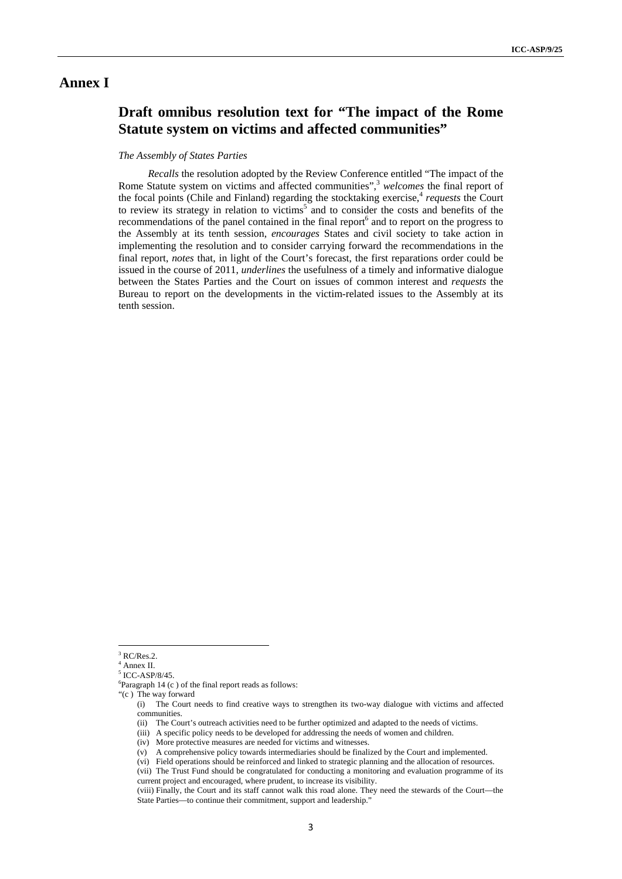### **Annex I**

## **Draft omnibus resolution text for "The impact of the Rome Statute system on victims and affected communities"**

#### *The Assembly of States Parties*

*Recalls* the resolution adopted by the Review Conference entitled "The impact of the Rome Statute system on victims and affected communities",<sup>3</sup> welcomes the final report of the focal points (Chile and Finland) regarding the stocktaking exercise,<sup>4</sup> requests the Court to review its strategy in relation to victims<sup>5</sup> and to consider the costs and benefits of the recommendations of the panel contained in the final report<sup>6</sup> and to report on the progress to the Assembly at its tenth session, *encourages* States and civil society to take action in implementing the resolution and to consider carrying forward the recommendations in the final report, *notes* that, in light of the Court's forecast, the first reparations order could be issued in the course of 2011, *underlines* the usefulness of a timely and informative dialogue between the States Parties and the Court on issues of common interest and *requests* the Bureau to report on the developments in the victim-related issues to the Assembly at its tenth session.

 $3$  RC/Res.2.

<sup>4</sup> Annex II.

<sup>5</sup> ICC-ASP/8/45.

<sup>6</sup> Paragraph 14 (c ) of the final report reads as follows:

<sup>&</sup>quot;(c ) The way forward

<sup>(</sup>i) The Court needs to find creative ways to strengthen its two-way dialogue with victims and affected communities.

<sup>(</sup>ii) The Court's outreach activities need to be further optimized and adapted to the needs of victims.

<sup>(</sup>iii) A specific policy needs to be developed for addressing the needs of women and children.

<sup>(</sup>iv) More protective measures are needed for victims and witnesses.

<sup>(</sup>v) A comprehensive policy towards intermediaries should be finalized by the Court and implemented.

<sup>(</sup>vi) Field operations should be reinforced and linked to strategic planning and the allocation of resources.

<sup>(</sup>vii) The Trust Fund should be congratulated for conducting a monitoring and evaluation programme of its current project and encouraged, where prudent, to increase its visibility.

<sup>(</sup>viii) Finally, the Court and its staff cannot walk this road alone. They need the stewards of the Court—the State Parties—to continue their commitment, support and leadership."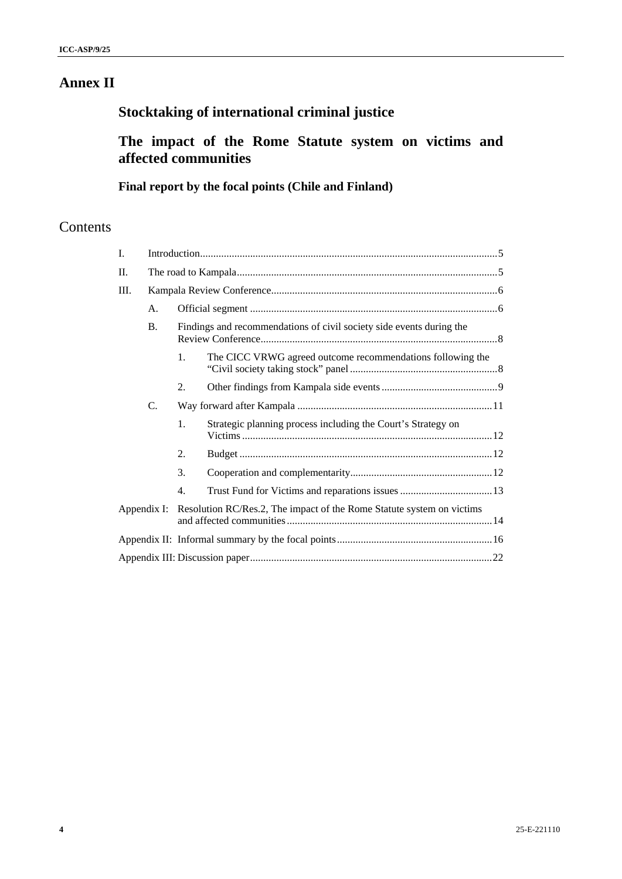## **Annex II**

# **Stocktaking of international criminal justice**

## **The impact of the Rome Statute system on victims and affected communities**

## **Final report by the focal points (Chile and Finland)**

## Contents

| I.        |    |                                                                                   |                                                              |  |
|-----------|----|-----------------------------------------------------------------------------------|--------------------------------------------------------------|--|
| II.       |    |                                                                                   |                                                              |  |
| Ш.        |    |                                                                                   |                                                              |  |
|           | A. |                                                                                   |                                                              |  |
| <b>B.</b> |    | Findings and recommendations of civil society side events during the              |                                                              |  |
|           |    | 1.                                                                                | The CICC VRWG agreed outcome recommendations following the   |  |
|           |    | 2.                                                                                |                                                              |  |
|           | C. |                                                                                   |                                                              |  |
|           |    | 1.                                                                                | Strategic planning process including the Court's Strategy on |  |
|           |    | 2.                                                                                |                                                              |  |
|           |    | 3.                                                                                |                                                              |  |
|           |    | 4.                                                                                |                                                              |  |
|           |    | Appendix I: Resolution RC/Res.2, The impact of the Rome Statute system on victims |                                                              |  |
|           |    |                                                                                   |                                                              |  |
|           |    |                                                                                   |                                                              |  |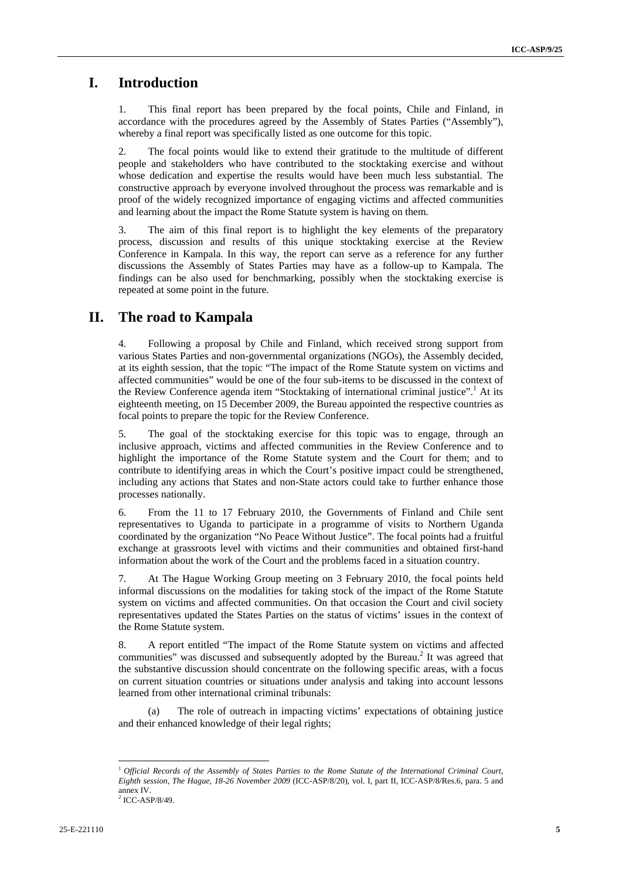## **I. Introduction**

1. This final report has been prepared by the focal points, Chile and Finland, in accordance with the procedures agreed by the Assembly of States Parties ("Assembly"), whereby a final report was specifically listed as one outcome for this topic.

2. The focal points would like to extend their gratitude to the multitude of different people and stakeholders who have contributed to the stocktaking exercise and without whose dedication and expertise the results would have been much less substantial. The constructive approach by everyone involved throughout the process was remarkable and is proof of the widely recognized importance of engaging victims and affected communities and learning about the impact the Rome Statute system is having on them.

3. The aim of this final report is to highlight the key elements of the preparatory process, discussion and results of this unique stocktaking exercise at the Review Conference in Kampala. In this way, the report can serve as a reference for any further discussions the Assembly of States Parties may have as a follow-up to Kampala. The findings can be also used for benchmarking, possibly when the stocktaking exercise is repeated at some point in the future.

## **II. The road to Kampala**

4. Following a proposal by Chile and Finland, which received strong support from various States Parties and non-governmental organizations (NGOs), the Assembly decided, at its eighth session, that the topic "The impact of the Rome Statute system on victims and affected communities" would be one of the four sub-items to be discussed in the context of the Review Conference agenda item "Stocktaking of international criminal justice".<sup>1</sup> At its eighteenth meeting, on 15 December 2009, the Bureau appointed the respective countries as focal points to prepare the topic for the Review Conference.

5. The goal of the stocktaking exercise for this topic was to engage, through an inclusive approach, victims and affected communities in the Review Conference and to highlight the importance of the Rome Statute system and the Court for them; and to contribute to identifying areas in which the Court's positive impact could be strengthened, including any actions that States and non-State actors could take to further enhance those processes nationally.

6. From the 11 to 17 February 2010, the Governments of Finland and Chile sent representatives to Uganda to participate in a programme of visits to Northern Uganda coordinated by the organization "No Peace Without Justice". The focal points had a fruitful exchange at grassroots level with victims and their communities and obtained first-hand information about the work of the Court and the problems faced in a situation country.

7. At The Hague Working Group meeting on 3 February 2010, the focal points held informal discussions on the modalities for taking stock of the impact of the Rome Statute system on victims and affected communities. On that occasion the Court and civil society representatives updated the States Parties on the status of victims' issues in the context of the Rome Statute system.

8. A report entitled "The impact of the Rome Statute system on victims and affected communities" was discussed and subsequently adopted by the Bureau.<sup>2</sup> It was agreed that the substantive discussion should concentrate on the following specific areas, with a focus on current situation countries or situations under analysis and taking into account lessons learned from other international criminal tribunals:

The role of outreach in impacting victims' expectations of obtaining justice and their enhanced knowledge of their legal rights;

<sup>1</sup>*Official Records of the Assembly of States Parties to the Rome Statute of the International Criminal Court, Eighth session, The Hague, 18-26 November 2009* (ICC-ASP/8/20), vol. I, part II, ICC-ASP/8/Res.6, para. 5 and annex IV.

<sup>2</sup> ICC-ASP/8/49.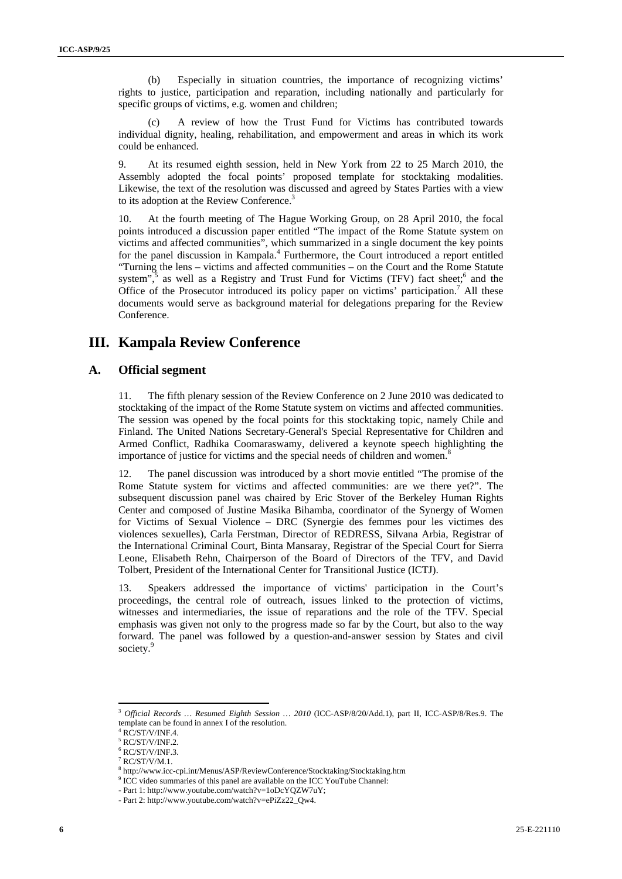(b) Especially in situation countries, the importance of recognizing victims' rights to justice, participation and reparation, including nationally and particularly for specific groups of victims, e.g. women and children;

(c) A review of how the Trust Fund for Victims has contributed towards individual dignity, healing, rehabilitation, and empowerment and areas in which its work could be enhanced.

9. At its resumed eighth session, held in New York from 22 to 25 March 2010, the Assembly adopted the focal points' proposed template for stocktaking modalities. Likewise, the text of the resolution was discussed and agreed by States Parties with a view to its adoption at the Review Conference.<sup>3</sup>

10. At the fourth meeting of The Hague Working Group, on 28 April 2010, the focal points introduced a discussion paper entitled "The impact of the Rome Statute system on victims and affected communities", which summarized in a single document the key points for the panel discussion in Kampala.<sup>4</sup> Furthermore, the Court introduced a report entitled "Turning the lens – victims and affected communities – on the Court and the Rome Statute system", as well as a Registry and Trust Fund for Victims (TFV) fact sheet;  $6$  and the Office of the Prosecutor introduced its policy paper on victims' participation.<sup>7</sup> All these documents would serve as background material for delegations preparing for the Review Conference.

## **III. Kampala Review Conference**

### **A. Official segment**

11. The fifth plenary session of the Review Conference on 2 June 2010 was dedicated to stocktaking of the impact of the Rome Statute system on victims and affected communities. The session was opened by the focal points for this stocktaking topic, namely Chile and Finland. The United Nations Secretary-General's Special Representative for Children and Armed Conflict, Radhika Coomaraswamy, delivered a keynote speech highlighting the importance of justice for victims and the special needs of children and women.<sup>8</sup>

12. The panel discussion was introduced by a short movie entitled "The promise of the Rome Statute system for victims and affected communities: are we there yet?". The subsequent discussion panel was chaired by Eric Stover of the Berkeley Human Rights Center and composed of Justine Masika Bihamba, coordinator of the Synergy of Women for Victims of Sexual Violence – DRC (Synergie des femmes pour les victimes des violences sexuelles), Carla Ferstman, Director of REDRESS, Silvana Arbia, Registrar of the International Criminal Court, Binta Mansaray, Registrar of the Special Court for Sierra Leone, Elisabeth Rehn, Chairperson of the Board of Directors of the TFV, and David Tolbert, President of the International Center for Transitional Justice (ICTJ).

13. Speakers addressed the importance of victims' participation in the Court's proceedings, the central role of outreach, issues linked to the protection of victims, witnesses and intermediaries, the issue of reparations and the role of the TFV. Special emphasis was given not only to the progress made so far by the Court, but also to the way forward. The panel was followed by a question-and-answer session by States and civil society.<sup>9</sup>

<sup>3</sup> *Official Records … Resumed Eighth Session … 2010* (ICC-ASP/8/20/Add.1), part II, ICC-ASP/8/Res.9. The template can be found in annex I of the resolution.

<sup>4</sup> RC/ST/V/INF.4.

<sup>5</sup> RC/ST/V/INF.2.

 $6$  RC/ST/V/INF.3.

 $7$  RC/ST/V/M.1.

<sup>&</sup>lt;sup>8</sup> http://www.icc-cpi.int/Menus/ASP/ReviewConference/Stocktaking/Stocktaking.htm<br><sup>9</sup> ICC video summaries of this nanal are available on the ICC YouTube Channal:

 $\rm{^{9}}$  ICC video summaries of this panel are available on the ICC YouTube Channel:

<sup>-</sup> Part 1: http://www.youtube.com/watch?v=1oDcYQZW7uY;

<sup>-</sup> Part 2: http://www.youtube.com/watch?v=ePiZz22\_Qw4.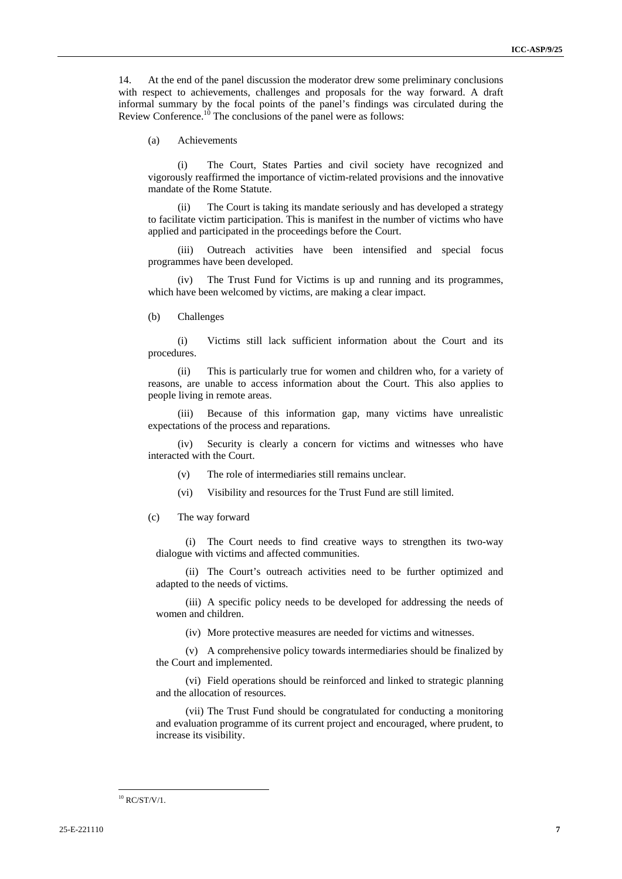14. At the end of the panel discussion the moderator drew some preliminary conclusions with respect to achievements, challenges and proposals for the way forward. A draft informal summary by the focal points of the panel's findings was circulated during the Review Conference.<sup>10</sup> The conclusions of the panel were as follows:

(a) Achievements

(i) The Court, States Parties and civil society have recognized and vigorously reaffirmed the importance of victim-related provisions and the innovative mandate of the Rome Statute.

The Court is taking its mandate seriously and has developed a strategy to facilitate victim participation. This is manifest in the number of victims who have applied and participated in the proceedings before the Court.

(iii) Outreach activities have been intensified and special focus programmes have been developed.

(iv) The Trust Fund for Victims is up and running and its programmes, which have been welcomed by victims, are making a clear impact.

(b) Challenges

(i) Victims still lack sufficient information about the Court and its procedures.

(ii) This is particularly true for women and children who, for a variety of reasons, are unable to access information about the Court. This also applies to people living in remote areas.

(iii) Because of this information gap, many victims have unrealistic expectations of the process and reparations.

(iv) Security is clearly a concern for victims and witnesses who have interacted with the Court.

(v) The role of intermediaries still remains unclear.

(vi) Visibility and resources for the Trust Fund are still limited.

(c) The way forward

(i) The Court needs to find creative ways to strengthen its two-way dialogue with victims and affected communities.

(ii) The Court's outreach activities need to be further optimized and adapted to the needs of victims.

(iii) A specific policy needs to be developed for addressing the needs of women and children.

(iv) More protective measures are needed for victims and witnesses.

(v) A comprehensive policy towards intermediaries should be finalized by the Court and implemented.

(vi) Field operations should be reinforced and linked to strategic planning and the allocation of resources.

(vii) The Trust Fund should be congratulated for conducting a monitoring and evaluation programme of its current project and encouraged, where prudent, to increase its visibility.

 $10$  RC/ST/V/1.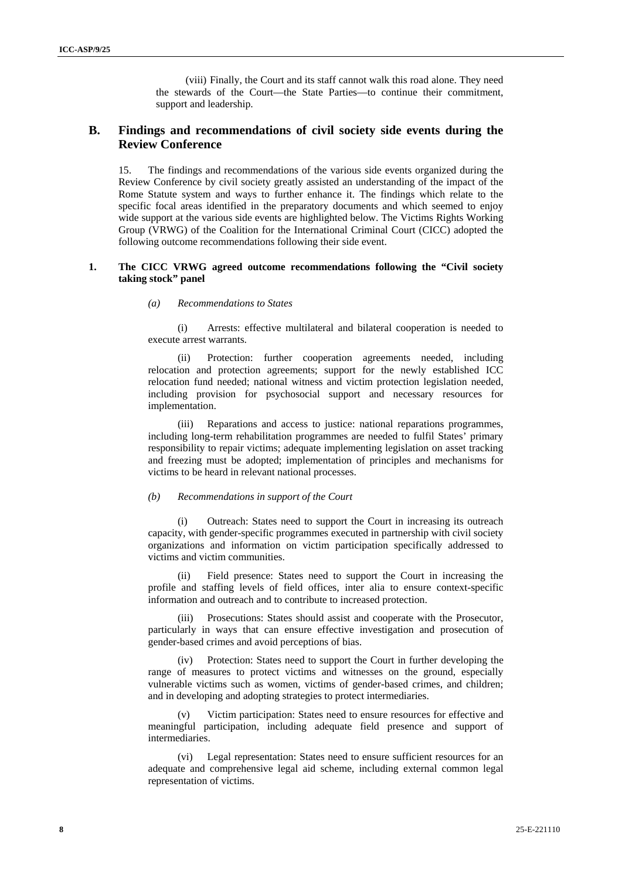(viii) Finally, the Court and its staff cannot walk this road alone. They need the stewards of the Court—the State Parties—to continue their commitment, support and leadership.

### **B. Findings and recommendations of civil society side events during the Review Conference**

15. The findings and recommendations of the various side events organized during the Review Conference by civil society greatly assisted an understanding of the impact of the Rome Statute system and ways to further enhance it. The findings which relate to the specific focal areas identified in the preparatory documents and which seemed to enjoy wide support at the various side events are highlighted below. The Victims Rights Working Group (VRWG) of the Coalition for the International Criminal Court (CICC) adopted the following outcome recommendations following their side event.

#### **1. The CICC VRWG agreed outcome recommendations following the "Civil society taking stock" panel**

#### *(a) Recommendations to States*

(i) Arrests: effective multilateral and bilateral cooperation is needed to execute arrest warrants.

(ii) Protection: further cooperation agreements needed, including relocation and protection agreements; support for the newly established ICC relocation fund needed; national witness and victim protection legislation needed, including provision for psychosocial support and necessary resources for implementation.

(iii) Reparations and access to justice: national reparations programmes, including long-term rehabilitation programmes are needed to fulfil States' primary responsibility to repair victims; adequate implementing legislation on asset tracking and freezing must be adopted; implementation of principles and mechanisms for victims to be heard in relevant national processes.

### *(b) Recommendations in support of the Court*

(i) Outreach: States need to support the Court in increasing its outreach capacity, with gender-specific programmes executed in partnership with civil society organizations and information on victim participation specifically addressed to victims and victim communities.

(ii) Field presence: States need to support the Court in increasing the profile and staffing levels of field offices, inter alia to ensure context-specific information and outreach and to contribute to increased protection.

Prosecutions: States should assist and cooperate with the Prosecutor, particularly in ways that can ensure effective investigation and prosecution of gender-based crimes and avoid perceptions of bias.

(iv) Protection: States need to support the Court in further developing the range of measures to protect victims and witnesses on the ground, especially vulnerable victims such as women, victims of gender-based crimes, and children; and in developing and adopting strategies to protect intermediaries.

Victim participation: States need to ensure resources for effective and meaningful participation, including adequate field presence and support of intermediaries.

(vi) Legal representation: States need to ensure sufficient resources for an adequate and comprehensive legal aid scheme, including external common legal representation of victims.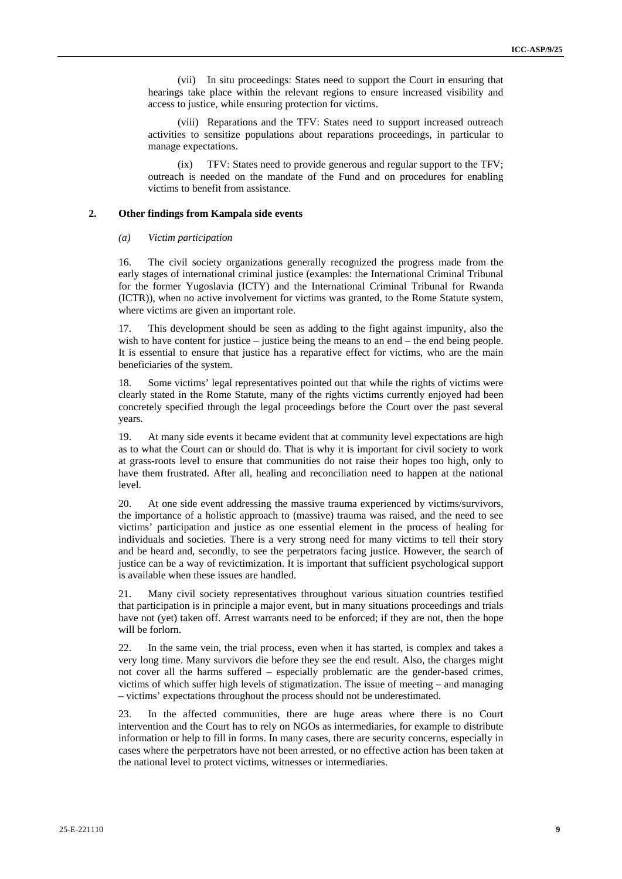(vii) In situ proceedings: States need to support the Court in ensuring that hearings take place within the relevant regions to ensure increased visibility and access to justice, while ensuring protection for victims.

(viii) Reparations and the TFV: States need to support increased outreach activities to sensitize populations about reparations proceedings, in particular to manage expectations.

(ix) TFV: States need to provide generous and regular support to the TFV; outreach is needed on the mandate of the Fund and on procedures for enabling victims to benefit from assistance.

#### **2. Other findings from Kampala side events**

#### *(a) Victim participation*

16. The civil society organizations generally recognized the progress made from the early stages of international criminal justice (examples: the International Criminal Tribunal for the former Yugoslavia (ICTY) and the International Criminal Tribunal for Rwanda (ICTR)), when no active involvement for victims was granted, to the Rome Statute system, where victims are given an important role.

17. This development should be seen as adding to the fight against impunity, also the wish to have content for justice – justice being the means to an end – the end being people. It is essential to ensure that justice has a reparative effect for victims, who are the main beneficiaries of the system.

18. Some victims' legal representatives pointed out that while the rights of victims were clearly stated in the Rome Statute, many of the rights victims currently enjoyed had been concretely specified through the legal proceedings before the Court over the past several years.

19. At many side events it became evident that at community level expectations are high as to what the Court can or should do. That is why it is important for civil society to work at grass-roots level to ensure that communities do not raise their hopes too high, only to have them frustrated. After all, healing and reconciliation need to happen at the national level.

20. At one side event addressing the massive trauma experienced by victims/survivors, the importance of a holistic approach to (massive) trauma was raised, and the need to see victims' participation and justice as one essential element in the process of healing for individuals and societies. There is a very strong need for many victims to tell their story and be heard and, secondly, to see the perpetrators facing justice. However, the search of justice can be a way of revictimization. It is important that sufficient psychological support is available when these issues are handled.

21. Many civil society representatives throughout various situation countries testified that participation is in principle a major event, but in many situations proceedings and trials have not (yet) taken off. Arrest warrants need to be enforced; if they are not, then the hope will be forlorn.

22. In the same vein, the trial process, even when it has started, is complex and takes a very long time. Many survivors die before they see the end result. Also, the charges might not cover all the harms suffered – especially problematic are the gender-based crimes, victims of which suffer high levels of stigmatization. The issue of meeting – and managing – victims' expectations throughout the process should not be underestimated.

23. In the affected communities, there are huge areas where there is no Court intervention and the Court has to rely on NGOs as intermediaries, for example to distribute information or help to fill in forms. In many cases, there are security concerns, especially in cases where the perpetrators have not been arrested, or no effective action has been taken at the national level to protect victims, witnesses or intermediaries.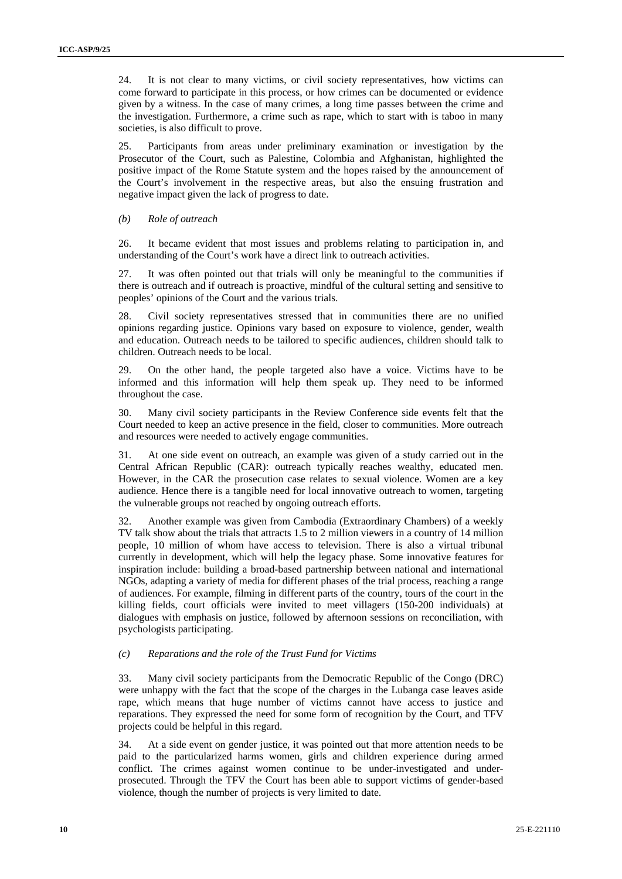24. It is not clear to many victims, or civil society representatives, how victims can come forward to participate in this process, or how crimes can be documented or evidence given by a witness. In the case of many crimes, a long time passes between the crime and the investigation. Furthermore, a crime such as rape, which to start with is taboo in many societies, is also difficult to prove.

25. Participants from areas under preliminary examination or investigation by the Prosecutor of the Court, such as Palestine, Colombia and Afghanistan, highlighted the positive impact of the Rome Statute system and the hopes raised by the announcement of the Court's involvement in the respective areas, but also the ensuing frustration and negative impact given the lack of progress to date.

#### *(b) Role of outreach*

26. It became evident that most issues and problems relating to participation in, and understanding of the Court's work have a direct link to outreach activities.

27. It was often pointed out that trials will only be meaningful to the communities if there is outreach and if outreach is proactive, mindful of the cultural setting and sensitive to peoples' opinions of the Court and the various trials.

28. Civil society representatives stressed that in communities there are no unified opinions regarding justice. Opinions vary based on exposure to violence, gender, wealth and education. Outreach needs to be tailored to specific audiences, children should talk to children. Outreach needs to be local.

29. On the other hand, the people targeted also have a voice. Victims have to be informed and this information will help them speak up. They need to be informed throughout the case.

30. Many civil society participants in the Review Conference side events felt that the Court needed to keep an active presence in the field, closer to communities. More outreach and resources were needed to actively engage communities.

31. At one side event on outreach, an example was given of a study carried out in the Central African Republic (CAR): outreach typically reaches wealthy, educated men. However, in the CAR the prosecution case relates to sexual violence. Women are a key audience. Hence there is a tangible need for local innovative outreach to women, targeting the vulnerable groups not reached by ongoing outreach efforts.

32. Another example was given from Cambodia (Extraordinary Chambers) of a weekly TV talk show about the trials that attracts 1.5 to 2 million viewers in a country of 14 million people, 10 million of whom have access to television. There is also a virtual tribunal currently in development, which will help the legacy phase. Some innovative features for inspiration include: building a broad-based partnership between national and international NGOs, adapting a variety of media for different phases of the trial process, reaching a range of audiences. For example, filming in different parts of the country, tours of the court in the killing fields, court officials were invited to meet villagers (150-200 individuals) at dialogues with emphasis on justice, followed by afternoon sessions on reconciliation, with psychologists participating.

#### *(c) Reparations and the role of the Trust Fund for Victims*

33. Many civil society participants from the Democratic Republic of the Congo (DRC) were unhappy with the fact that the scope of the charges in the Lubanga case leaves aside rape, which means that huge number of victims cannot have access to justice and reparations. They expressed the need for some form of recognition by the Court, and TFV projects could be helpful in this regard.

34. At a side event on gender justice, it was pointed out that more attention needs to be paid to the particularized harms women, girls and children experience during armed conflict. The crimes against women continue to be under-investigated and underprosecuted. Through the TFV the Court has been able to support victims of gender-based violence, though the number of projects is very limited to date.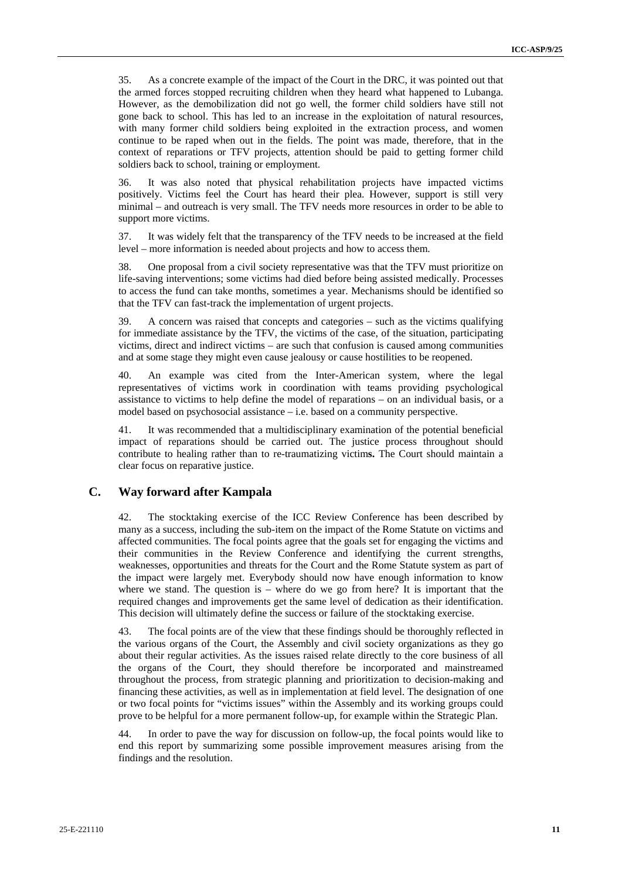35. As a concrete example of the impact of the Court in the DRC, it was pointed out that the armed forces stopped recruiting children when they heard what happened to Lubanga. However, as the demobilization did not go well, the former child soldiers have still not gone back to school. This has led to an increase in the exploitation of natural resources, with many former child soldiers being exploited in the extraction process, and women continue to be raped when out in the fields. The point was made, therefore, that in the context of reparations or TFV projects, attention should be paid to getting former child soldiers back to school, training or employment.

36. It was also noted that physical rehabilitation projects have impacted victims positively. Victims feel the Court has heard their plea. However, support is still very minimal – and outreach is very small. The TFV needs more resources in order to be able to support more victims.

37. It was widely felt that the transparency of the TFV needs to be increased at the field level – more information is needed about projects and how to access them.

38. One proposal from a civil society representative was that the TFV must prioritize on life-saving interventions; some victims had died before being assisted medically. Processes to access the fund can take months, sometimes a year. Mechanisms should be identified so that the TFV can fast-track the implementation of urgent projects.

39. A concern was raised that concepts and categories – such as the victims qualifying for immediate assistance by the TFV, the victims of the case, of the situation, participating victims, direct and indirect victims – are such that confusion is caused among communities and at some stage they might even cause jealousy or cause hostilities to be reopened.

40. An example was cited from the Inter-American system, where the legal representatives of victims work in coordination with teams providing psychological assistance to victims to help define the model of reparations – on an individual basis, or a model based on psychosocial assistance – i.e. based on a community perspective.

41. It was recommended that a multidisciplinary examination of the potential beneficial impact of reparations should be carried out. The justice process throughout should contribute to healing rather than to re-traumatizing victim**s.** The Court should maintain a clear focus on reparative justice.

### **C. Way forward after Kampala**

42. The stocktaking exercise of the ICC Review Conference has been described by many as a success, including the sub-item on the impact of the Rome Statute on victims and affected communities. The focal points agree that the goals set for engaging the victims and their communities in the Review Conference and identifying the current strengths, weaknesses, opportunities and threats for the Court and the Rome Statute system as part of the impact were largely met. Everybody should now have enough information to know where we stand. The question is – where do we go from here? It is important that the required changes and improvements get the same level of dedication as their identification. This decision will ultimately define the success or failure of the stocktaking exercise.

43. The focal points are of the view that these findings should be thoroughly reflected in the various organs of the Court, the Assembly and civil society organizations as they go about their regular activities. As the issues raised relate directly to the core business of all the organs of the Court, they should therefore be incorporated and mainstreamed throughout the process, from strategic planning and prioritization to decision-making and financing these activities, as well as in implementation at field level. The designation of one or two focal points for "victims issues" within the Assembly and its working groups could prove to be helpful for a more permanent follow-up, for example within the Strategic Plan.

44. In order to pave the way for discussion on follow-up, the focal points would like to end this report by summarizing some possible improvement measures arising from the findings and the resolution.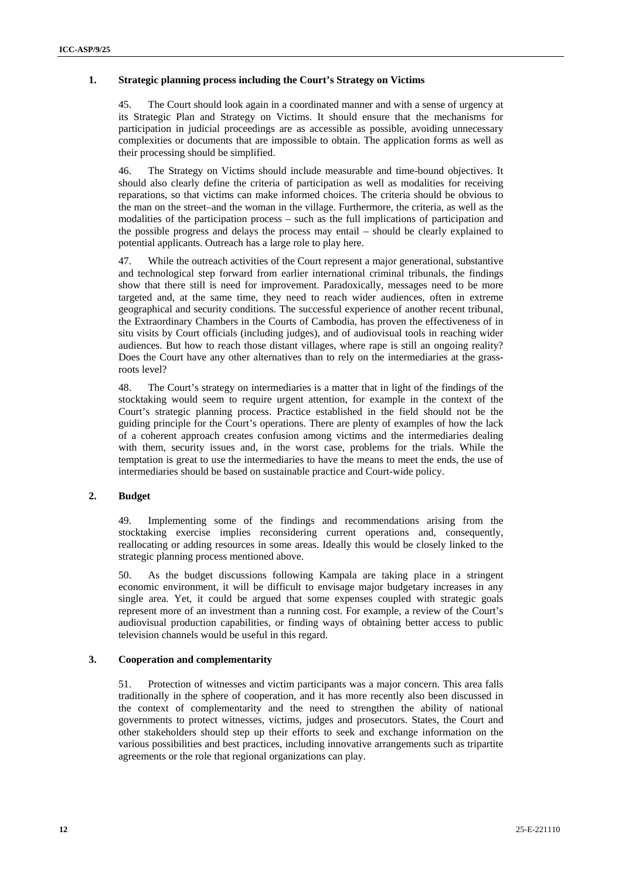### **1. Strategic planning process including the Court's Strategy on Victims**

45. The Court should look again in a coordinated manner and with a sense of urgency at its Strategic Plan and Strategy on Victims. It should ensure that the mechanisms for participation in judicial proceedings are as accessible as possible, avoiding unnecessary complexities or documents that are impossible to obtain. The application forms as well as their processing should be simplified.

46. The Strategy on Victims should include measurable and time-bound objectives. It should also clearly define the criteria of participation as well as modalities for receiving reparations, so that victims can make informed choices. The criteria should be obvious to the man on the street–and the woman in the village. Furthermore, the criteria, as well as the modalities of the participation process – such as the full implications of participation and the possible progress and delays the process may entail – should be clearly explained to potential applicants. Outreach has a large role to play here.

47. While the outreach activities of the Court represent a major generational, substantive and technological step forward from earlier international criminal tribunals, the findings show that there still is need for improvement. Paradoxically, messages need to be more targeted and, at the same time, they need to reach wider audiences, often in extreme geographical and security conditions. The successful experience of another recent tribunal, the Extraordinary Chambers in the Courts of Cambodia, has proven the effectiveness of in situ visits by Court officials (including judges), and of audiovisual tools in reaching wider audiences. But how to reach those distant villages, where rape is still an ongoing reality? Does the Court have any other alternatives than to rely on the intermediaries at the grassroots level?

48. The Court's strategy on intermediaries is a matter that in light of the findings of the stocktaking would seem to require urgent attention, for example in the context of the Court's strategic planning process. Practice established in the field should not be the guiding principle for the Court's operations. There are plenty of examples of how the lack of a coherent approach creates confusion among victims and the intermediaries dealing with them, security issues and, in the worst case, problems for the trials. While the temptation is great to use the intermediaries to have the means to meet the ends, the use of intermediaries should be based on sustainable practice and Court-wide policy.

#### **2. Budget**

49. Implementing some of the findings and recommendations arising from the stocktaking exercise implies reconsidering current operations and, consequently, reallocating or adding resources in some areas. Ideally this would be closely linked to the strategic planning process mentioned above.

50. As the budget discussions following Kampala are taking place in a stringent economic environment, it will be difficult to envisage major budgetary increases in any single area. Yet, it could be argued that some expenses coupled with strategic goals represent more of an investment than a running cost. For example, a review of the Court's audiovisual production capabilities, or finding ways of obtaining better access to public television channels would be useful in this regard.

### **3. Cooperation and complementarity**

51. Protection of witnesses and victim participants was a major concern. This area falls traditionally in the sphere of cooperation, and it has more recently also been discussed in the context of complementarity and the need to strengthen the ability of national governments to protect witnesses, victims, judges and prosecutors. States, the Court and other stakeholders should step up their efforts to seek and exchange information on the various possibilities and best practices, including innovative arrangements such as tripartite agreements or the role that regional organizations can play.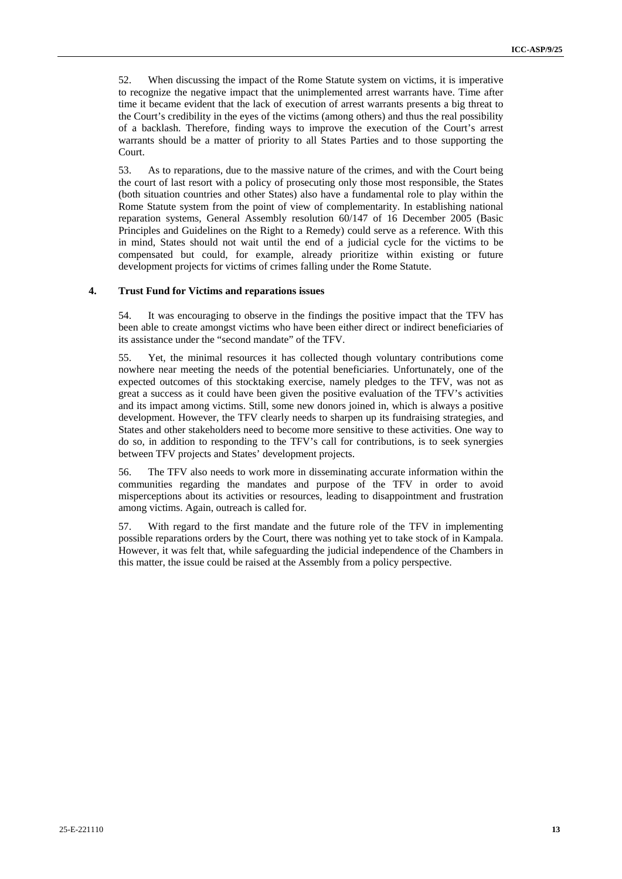52. When discussing the impact of the Rome Statute system on victims, it is imperative to recognize the negative impact that the unimplemented arrest warrants have. Time after time it became evident that the lack of execution of arrest warrants presents a big threat to the Court's credibility in the eyes of the victims (among others) and thus the real possibility of a backlash. Therefore, finding ways to improve the execution of the Court's arrest warrants should be a matter of priority to all States Parties and to those supporting the Court.

53. As to reparations, due to the massive nature of the crimes, and with the Court being the court of last resort with a policy of prosecuting only those most responsible, the States (both situation countries and other States) also have a fundamental role to play within the Rome Statute system from the point of view of complementarity. In establishing national reparation systems, General Assembly resolution 60/147 of 16 December 2005 (Basic Principles and Guidelines on the Right to a Remedy) could serve as a reference. With this in mind, States should not wait until the end of a judicial cycle for the victims to be compensated but could, for example, already prioritize within existing or future development projects for victims of crimes falling under the Rome Statute.

#### **4. Trust Fund for Victims and reparations issues**

54. It was encouraging to observe in the findings the positive impact that the TFV has been able to create amongst victims who have been either direct or indirect beneficiaries of its assistance under the "second mandate" of the TFV.

55. Yet, the minimal resources it has collected though voluntary contributions come nowhere near meeting the needs of the potential beneficiaries. Unfortunately, one of the expected outcomes of this stocktaking exercise, namely pledges to the TFV, was not as great a success as it could have been given the positive evaluation of the TFV's activities and its impact among victims. Still, some new donors joined in, which is always a positive development. However, the TFV clearly needs to sharpen up its fundraising strategies, and States and other stakeholders need to become more sensitive to these activities. One way to do so, in addition to responding to the TFV's call for contributions, is to seek synergies between TFV projects and States' development projects.

56. The TFV also needs to work more in disseminating accurate information within the communities regarding the mandates and purpose of the TFV in order to avoid misperceptions about its activities or resources, leading to disappointment and frustration among victims. Again, outreach is called for.

57. With regard to the first mandate and the future role of the TFV in implementing possible reparations orders by the Court, there was nothing yet to take stock of in Kampala. However, it was felt that, while safeguarding the judicial independence of the Chambers in this matter, the issue could be raised at the Assembly from a policy perspective.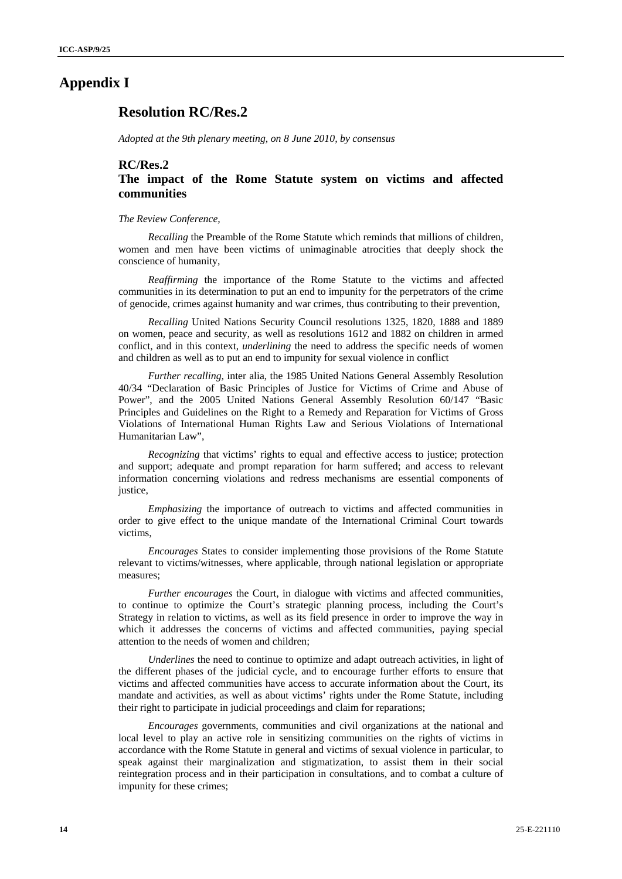### **Appendix I**

## **Resolution RC/Res.2**

*Adopted at the 9th plenary meeting, on 8 June 2010, by consensus* 

## **RC/Res.2**

### **The impact of the Rome Statute system on victims and affected communities**

#### *The Review Conference,*

*Recalling* the Preamble of the Rome Statute which reminds that millions of children, women and men have been victims of unimaginable atrocities that deeply shock the conscience of humanity,

*Reaffirming* the importance of the Rome Statute to the victims and affected communities in its determination to put an end to impunity for the perpetrators of the crime of genocide, crimes against humanity and war crimes, thus contributing to their prevention,

*Recalling* United Nations Security Council resolutions 1325, 1820, 1888 and 1889 on women, peace and security, as well as resolutions 1612 and 1882 on children in armed conflict, and in this context, *underlining* the need to address the specific needs of women and children as well as to put an end to impunity for sexual violence in conflict

*Further recalling,* inter alia, the 1985 United Nations General Assembly Resolution 40/34 "Declaration of Basic Principles of Justice for Victims of Crime and Abuse of Power", and the 2005 United Nations General Assembly Resolution 60/147 "Basic Principles and Guidelines on the Right to a Remedy and Reparation for Victims of Gross Violations of International Human Rights Law and Serious Violations of International Humanitarian Law",

*Recognizing* that victims' rights to equal and effective access to justice; protection and support; adequate and prompt reparation for harm suffered; and access to relevant information concerning violations and redress mechanisms are essential components of justice,

*Emphasizing* the importance of outreach to victims and affected communities in order to give effect to the unique mandate of the International Criminal Court towards victims,

*Encourages* States to consider implementing those provisions of the Rome Statute relevant to victims/witnesses, where applicable, through national legislation or appropriate measures;

*Further encourages* the Court, in dialogue with victims and affected communities, to continue to optimize the Court's strategic planning process, including the Court's Strategy in relation to victims, as well as its field presence in order to improve the way in which it addresses the concerns of victims and affected communities, paying special attention to the needs of women and children;

*Underlines* the need to continue to optimize and adapt outreach activities, in light of the different phases of the judicial cycle, and to encourage further efforts to ensure that victims and affected communities have access to accurate information about the Court, its mandate and activities, as well as about victims' rights under the Rome Statute, including their right to participate in judicial proceedings and claim for reparations;

*Encourages* governments, communities and civil organizations at the national and local level to play an active role in sensitizing communities on the rights of victims in accordance with the Rome Statute in general and victims of sexual violence in particular, to speak against their marginalization and stigmatization, to assist them in their social reintegration process and in their participation in consultations, and to combat a culture of impunity for these crimes;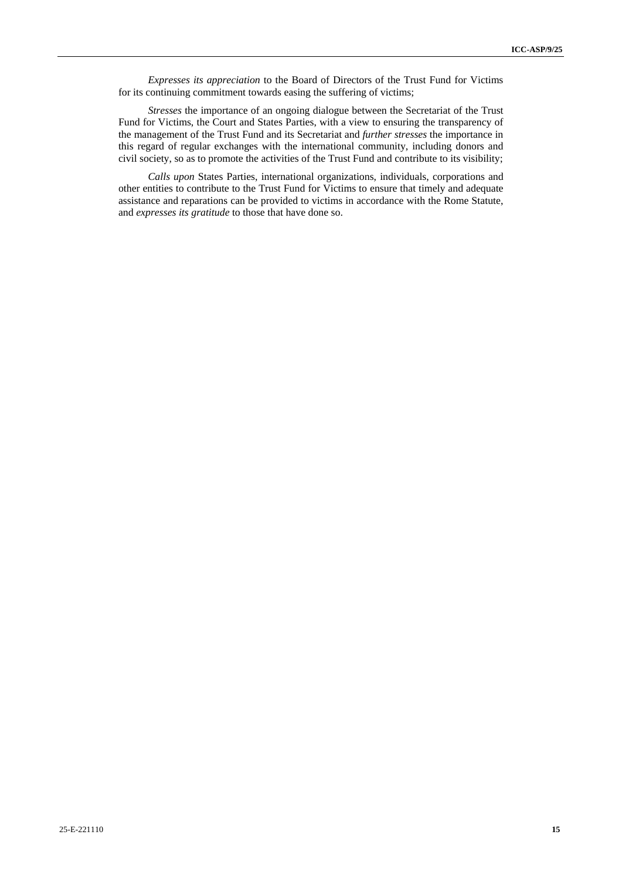*Expresses its appreciation* to the Board of Directors of the Trust Fund for Victims for its continuing commitment towards easing the suffering of victims;

*Stresses* the importance of an ongoing dialogue between the Secretariat of the Trust Fund for Victims, the Court and States Parties, with a view to ensuring the transparency of the management of the Trust Fund and its Secretariat and *further stresses* the importance in this regard of regular exchanges with the international community, including donors and civil society, so as to promote the activities of the Trust Fund and contribute to its visibility;

*Calls upon* States Parties, international organizations, individuals, corporations and other entities to contribute to the Trust Fund for Victims to ensure that timely and adequate assistance and reparations can be provided to victims in accordance with the Rome Statute, and *expresses its gratitude* to those that have done so.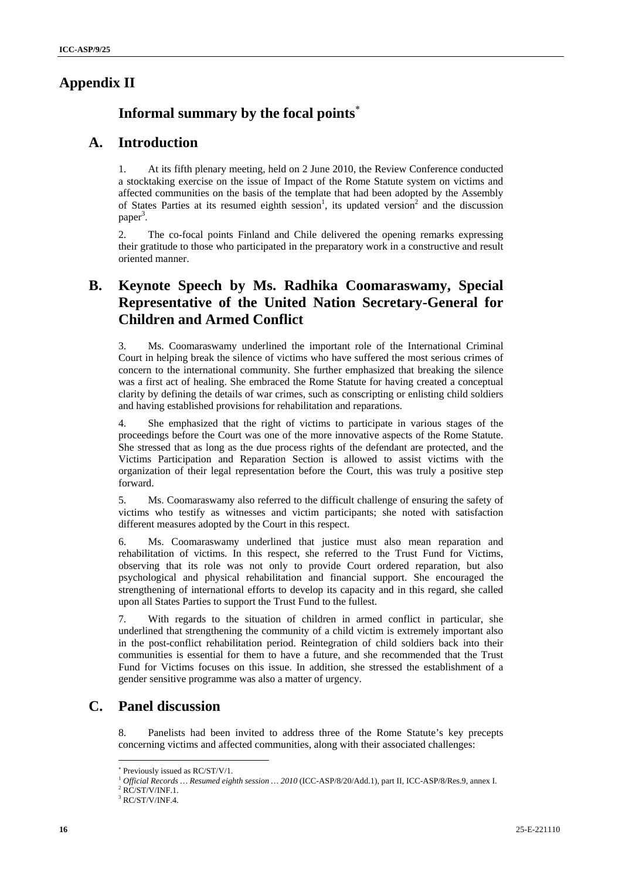## **Appendix II**

## **Informal summary by the focal points**

## **A. Introduction**

1. At its fifth plenary meeting, held on 2 June 2010, the Review Conference conducted a stocktaking exercise on the issue of Impact of the Rome Statute system on victims and affected communities on the basis of the template that had been adopted by the Assembly of States Parties at its resumed eighth session<sup>1</sup>, its updated version<sup>2</sup> and the discussion paper<sup>3</sup>.

2. The co-focal points Finland and Chile delivered the opening remarks expressing their gratitude to those who participated in the preparatory work in a constructive and result oriented manner.

## **B. Keynote Speech by Ms. Radhika Coomaraswamy, Special Representative of the United Nation Secretary-General for Children and Armed Conflict**

3. Ms. Coomaraswamy underlined the important role of the International Criminal Court in helping break the silence of victims who have suffered the most serious crimes of concern to the international community. She further emphasized that breaking the silence was a first act of healing. She embraced the Rome Statute for having created a conceptual clarity by defining the details of war crimes, such as conscripting or enlisting child soldiers and having established provisions for rehabilitation and reparations.

4. She emphasized that the right of victims to participate in various stages of the proceedings before the Court was one of the more innovative aspects of the Rome Statute. She stressed that as long as the due process rights of the defendant are protected, and the Victims Participation and Reparation Section is allowed to assist victims with the organization of their legal representation before the Court, this was truly a positive step forward.

5. Ms. Coomaraswamy also referred to the difficult challenge of ensuring the safety of victims who testify as witnesses and victim participants; she noted with satisfaction different measures adopted by the Court in this respect.

6. Ms. Coomaraswamy underlined that justice must also mean reparation and rehabilitation of victims. In this respect, she referred to the Trust Fund for Victims, observing that its role was not only to provide Court ordered reparation, but also psychological and physical rehabilitation and financial support. She encouraged the strengthening of international efforts to develop its capacity and in this regard, she called upon all States Parties to support the Trust Fund to the fullest.

7. With regards to the situation of children in armed conflict in particular, she underlined that strengthening the community of a child victim is extremely important also in the post-conflict rehabilitation period. Reintegration of child soldiers back into their communities is essential for them to have a future, and she recommended that the Trust Fund for Victims focuses on this issue. In addition, she stressed the establishment of a gender sensitive programme was also a matter of urgency.

## **C. Panel discussion**

8. Panelists had been invited to address three of the Rome Statute's key precepts concerning victims and affected communities, along with their associated challenges:

 Previously issued as RC/ST/V/1.

<sup>&</sup>lt;sup>1</sup> Official Records ... Resumed eighth session ... 2010 (ICC-ASP/8/20/Add.1), part II, ICC-ASP/8/Res.9, annex I.

 $2$  RC/ST/V/INF.1.

 $3$  RC/ST/V/INF.4.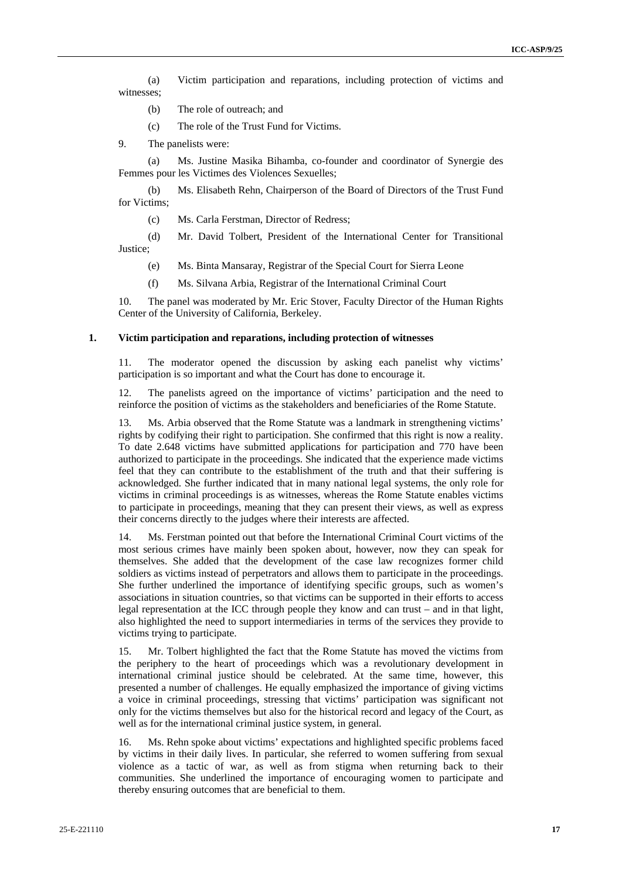(a) Victim participation and reparations, including protection of victims and witnesses;

- (b) The role of outreach; and
- (c) The role of the Trust Fund for Victims.
- 9. The panelists were:

Ms. Justine Masika Bihamba, co-founder and coordinator of Synergie des Femmes pour les Victimes des Violences Sexuelles;

(b) Ms. Elisabeth Rehn, Chairperson of the Board of Directors of the Trust Fund for Victims;

(c) Ms. Carla Ferstman, Director of Redress;

(d) Mr. David Tolbert, President of the International Center for Transitional Justice;

- (e) Ms. Binta Mansaray, Registrar of the Special Court for Sierra Leone
- (f) Ms. Silvana Arbia, Registrar of the International Criminal Court

10. The panel was moderated by Mr. Eric Stover, Faculty Director of the Human Rights Center of the University of California, Berkeley.

### **1. Victim participation and reparations, including protection of witnesses**

11. The moderator opened the discussion by asking each panelist why victims' participation is so important and what the Court has done to encourage it.

12. The panelists agreed on the importance of victims' participation and the need to reinforce the position of victims as the stakeholders and beneficiaries of the Rome Statute.

13. Ms. Arbia observed that the Rome Statute was a landmark in strengthening victims' rights by codifying their right to participation. She confirmed that this right is now a reality. To date 2.648 victims have submitted applications for participation and 770 have been authorized to participate in the proceedings. She indicated that the experience made victims feel that they can contribute to the establishment of the truth and that their suffering is acknowledged. She further indicated that in many national legal systems, the only role for victims in criminal proceedings is as witnesses, whereas the Rome Statute enables victims to participate in proceedings, meaning that they can present their views, as well as express their concerns directly to the judges where their interests are affected.

14. Ms. Ferstman pointed out that before the International Criminal Court victims of the most serious crimes have mainly been spoken about, however, now they can speak for themselves. She added that the development of the case law recognizes former child soldiers as victims instead of perpetrators and allows them to participate in the proceedings. She further underlined the importance of identifying specific groups, such as women's associations in situation countries, so that victims can be supported in their efforts to access legal representation at the ICC through people they know and can trust – and in that light, also highlighted the need to support intermediaries in terms of the services they provide to victims trying to participate.

15. Mr. Tolbert highlighted the fact that the Rome Statute has moved the victims from the periphery to the heart of proceedings which was a revolutionary development in international criminal justice should be celebrated. At the same time, however, this presented a number of challenges. He equally emphasized the importance of giving victims a voice in criminal proceedings, stressing that victims' participation was significant not only for the victims themselves but also for the historical record and legacy of the Court, as well as for the international criminal justice system, in general.

16. Ms. Rehn spoke about victims' expectations and highlighted specific problems faced by victims in their daily lives. In particular, she referred to women suffering from sexual violence as a tactic of war, as well as from stigma when returning back to their communities. She underlined the importance of encouraging women to participate and thereby ensuring outcomes that are beneficial to them.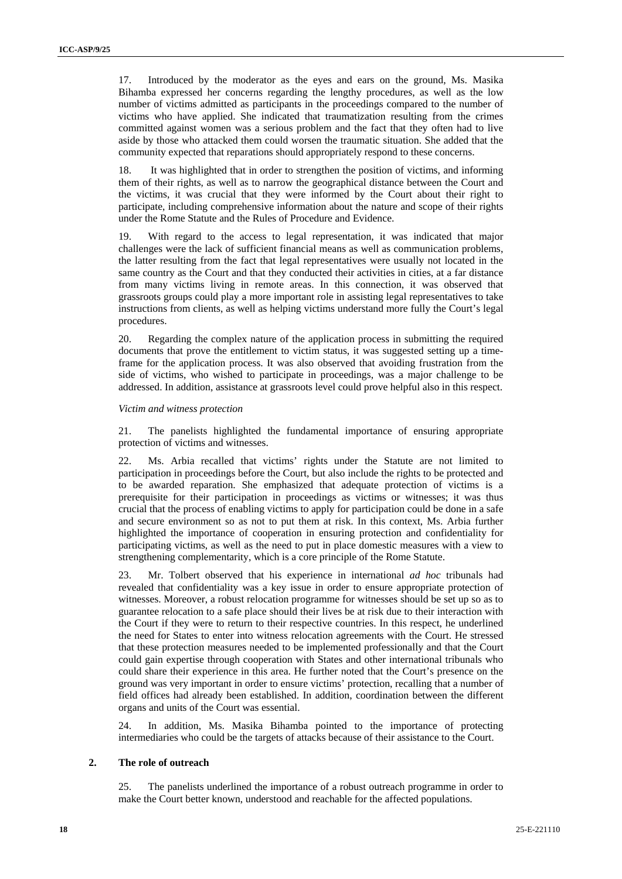17. Introduced by the moderator as the eyes and ears on the ground, Ms. Masika Bihamba expressed her concerns regarding the lengthy procedures, as well as the low number of victims admitted as participants in the proceedings compared to the number of victims who have applied. She indicated that traumatization resulting from the crimes committed against women was a serious problem and the fact that they often had to live aside by those who attacked them could worsen the traumatic situation. She added that the community expected that reparations should appropriately respond to these concerns.

18. It was highlighted that in order to strengthen the position of victims, and informing them of their rights, as well as to narrow the geographical distance between the Court and the victims, it was crucial that they were informed by the Court about their right to participate, including comprehensive information about the nature and scope of their rights under the Rome Statute and the Rules of Procedure and Evidence.

19. With regard to the access to legal representation, it was indicated that major challenges were the lack of sufficient financial means as well as communication problems, the latter resulting from the fact that legal representatives were usually not located in the same country as the Court and that they conducted their activities in cities, at a far distance from many victims living in remote areas. In this connection, it was observed that grassroots groups could play a more important role in assisting legal representatives to take instructions from clients, as well as helping victims understand more fully the Court's legal procedures.

20. Regarding the complex nature of the application process in submitting the required documents that prove the entitlement to victim status, it was suggested setting up a timeframe for the application process. It was also observed that avoiding frustration from the side of victims, who wished to participate in proceedings, was a major challenge to be addressed. In addition, assistance at grassroots level could prove helpful also in this respect.

#### *Victim and witness protection*

21. The panelists highlighted the fundamental importance of ensuring appropriate protection of victims and witnesses.

22. Ms. Arbia recalled that victims' rights under the Statute are not limited to participation in proceedings before the Court, but also include the rights to be protected and to be awarded reparation. She emphasized that adequate protection of victims is a prerequisite for their participation in proceedings as victims or witnesses; it was thus crucial that the process of enabling victims to apply for participation could be done in a safe and secure environment so as not to put them at risk. In this context, Ms. Arbia further highlighted the importance of cooperation in ensuring protection and confidentiality for participating victims, as well as the need to put in place domestic measures with a view to strengthening complementarity, which is a core principle of the Rome Statute.

23. Mr. Tolbert observed that his experience in international *ad hoc* tribunals had revealed that confidentiality was a key issue in order to ensure appropriate protection of witnesses. Moreover, a robust relocation programme for witnesses should be set up so as to guarantee relocation to a safe place should their lives be at risk due to their interaction with the Court if they were to return to their respective countries. In this respect, he underlined the need for States to enter into witness relocation agreements with the Court. He stressed that these protection measures needed to be implemented professionally and that the Court could gain expertise through cooperation with States and other international tribunals who could share their experience in this area. He further noted that the Court's presence on the ground was very important in order to ensure victims' protection, recalling that a number of field offices had already been established. In addition, coordination between the different organs and units of the Court was essential.

24. In addition, Ms. Masika Bihamba pointed to the importance of protecting intermediaries who could be the targets of attacks because of their assistance to the Court.

#### **2. The role of outreach**

25. The panelists underlined the importance of a robust outreach programme in order to make the Court better known, understood and reachable for the affected populations.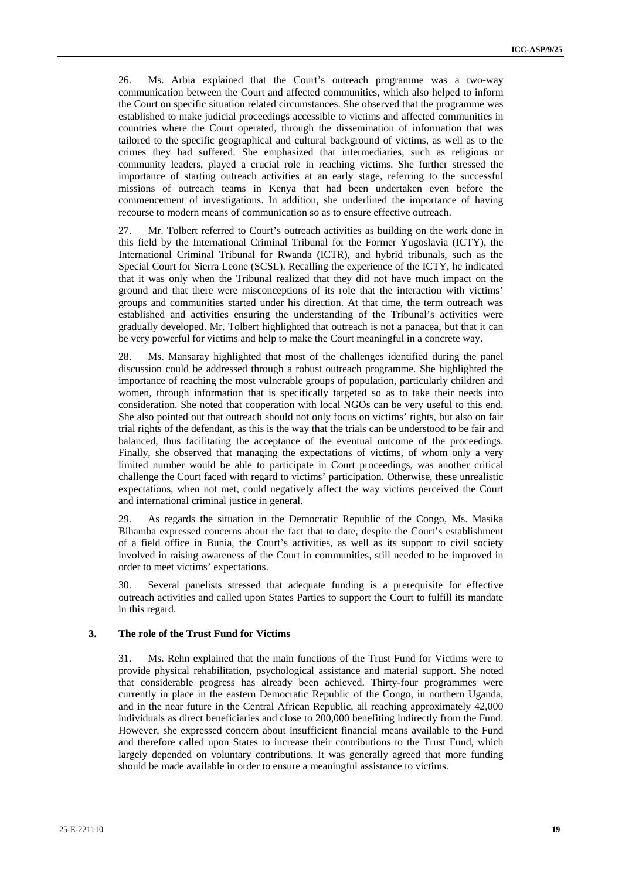26. Ms. Arbia explained that the Court's outreach programme was a two-way communication between the Court and affected communities, which also helped to inform the Court on specific situation related circumstances. She observed that the programme was established to make judicial proceedings accessible to victims and affected communities in countries where the Court operated, through the dissemination of information that was tailored to the specific geographical and cultural background of victims, as well as to the crimes they had suffered. She emphasized that intermediaries, such as religious or community leaders, played a crucial role in reaching victims. She further stressed the importance of starting outreach activities at an early stage, referring to the successful missions of outreach teams in Kenya that had been undertaken even before the commencement of investigations. In addition, she underlined the importance of having recourse to modern means of communication so as to ensure effective outreach.

27. Mr. Tolbert referred to Court's outreach activities as building on the work done in this field by the International Criminal Tribunal for the Former Yugoslavia (ICTY), the International Criminal Tribunal for Rwanda (ICTR), and hybrid tribunals, such as the Special Court for Sierra Leone (SCSL). Recalling the experience of the ICTY, he indicated that it was only when the Tribunal realized that they did not have much impact on the ground and that there were misconceptions of its role that the interaction with victims' groups and communities started under his direction. At that time, the term outreach was established and activities ensuring the understanding of the Tribunal's activities were gradually developed. Mr. Tolbert highlighted that outreach is not a panacea, but that it can be very powerful for victims and help to make the Court meaningful in a concrete way.

28. Ms. Mansaray highlighted that most of the challenges identified during the panel discussion could be addressed through a robust outreach programme. She highlighted the importance of reaching the most vulnerable groups of population, particularly children and women, through information that is specifically targeted so as to take their needs into consideration. She noted that cooperation with local NGOs can be very useful to this end. She also pointed out that outreach should not only focus on victims' rights, but also on fair trial rights of the defendant, as this is the way that the trials can be understood to be fair and balanced, thus facilitating the acceptance of the eventual outcome of the proceedings. Finally, she observed that managing the expectations of victims, of whom only a very limited number would be able to participate in Court proceedings, was another critical challenge the Court faced with regard to victims' participation. Otherwise, these unrealistic expectations, when not met, could negatively affect the way victims perceived the Court and international criminal justice in general.

29. As regards the situation in the Democratic Republic of the Congo, Ms. Masika Bihamba expressed concerns about the fact that to date, despite the Court's establishment of a field office in Bunia, the Court's activities, as well as its support to civil society involved in raising awareness of the Court in communities, still needed to be improved in order to meet victims' expectations.

30. Several panelists stressed that adequate funding is a prerequisite for effective outreach activities and called upon States Parties to support the Court to fulfill its mandate in this regard.

### **3. The role of the Trust Fund for Victims**

31. Ms. Rehn explained that the main functions of the Trust Fund for Victims were to provide physical rehabilitation, psychological assistance and material support. She noted that considerable progress has already been achieved. Thirty-four programmes were currently in place in the eastern Democratic Republic of the Congo, in northern Uganda, and in the near future in the Central African Republic, all reaching approximately 42,000 individuals as direct beneficiaries and close to 200,000 benefiting indirectly from the Fund. However, she expressed concern about insufficient financial means available to the Fund and therefore called upon States to increase their contributions to the Trust Fund, which largely depended on voluntary contributions. It was generally agreed that more funding should be made available in order to ensure a meaningful assistance to victims.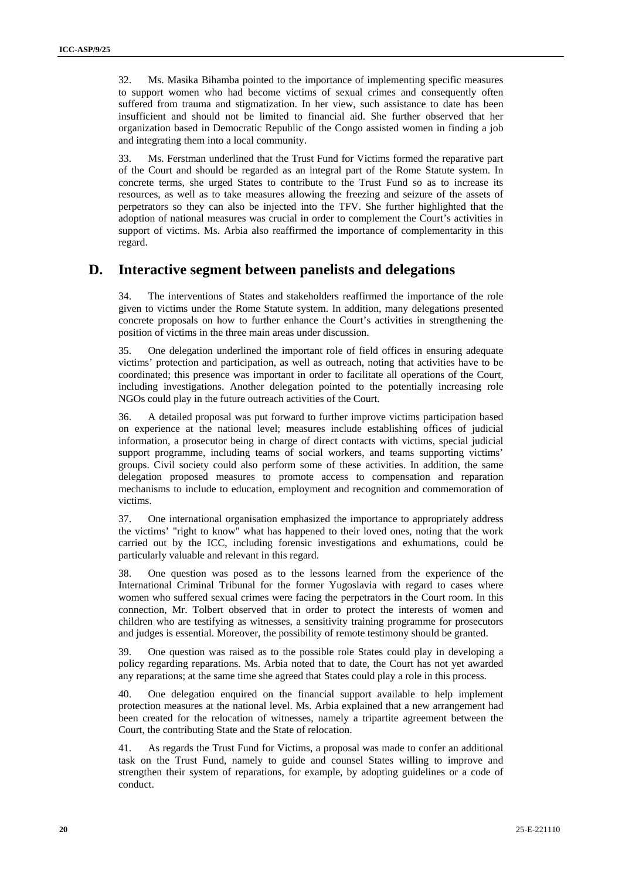32. Ms. Masika Bihamba pointed to the importance of implementing specific measures to support women who had become victims of sexual crimes and consequently often suffered from trauma and stigmatization. In her view, such assistance to date has been insufficient and should not be limited to financial aid. She further observed that her organization based in Democratic Republic of the Congo assisted women in finding a job and integrating them into a local community.

33. Ms. Ferstman underlined that the Trust Fund for Victims formed the reparative part of the Court and should be regarded as an integral part of the Rome Statute system. In concrete terms, she urged States to contribute to the Trust Fund so as to increase its resources, as well as to take measures allowing the freezing and seizure of the assets of perpetrators so they can also be injected into the TFV. She further highlighted that the adoption of national measures was crucial in order to complement the Court's activities in support of victims. Ms. Arbia also reaffirmed the importance of complementarity in this regard.

### **D. Interactive segment between panelists and delegations**

34. The interventions of States and stakeholders reaffirmed the importance of the role given to victims under the Rome Statute system. In addition, many delegations presented concrete proposals on how to further enhance the Court's activities in strengthening the position of victims in the three main areas under discussion.

35. One delegation underlined the important role of field offices in ensuring adequate victims' protection and participation, as well as outreach, noting that activities have to be coordinated; this presence was important in order to facilitate all operations of the Court, including investigations. Another delegation pointed to the potentially increasing role NGOs could play in the future outreach activities of the Court.

36. A detailed proposal was put forward to further improve victims participation based on experience at the national level; measures include establishing offices of judicial information, a prosecutor being in charge of direct contacts with victims, special judicial support programme, including teams of social workers, and teams supporting victims' groups. Civil society could also perform some of these activities. In addition, the same delegation proposed measures to promote access to compensation and reparation mechanisms to include to education, employment and recognition and commemoration of victims.

37. One international organisation emphasized the importance to appropriately address the victims' "right to know" what has happened to their loved ones, noting that the work carried out by the ICC, including forensic investigations and exhumations, could be particularly valuable and relevant in this regard.

38. One question was posed as to the lessons learned from the experience of the International Criminal Tribunal for the former Yugoslavia with regard to cases where women who suffered sexual crimes were facing the perpetrators in the Court room. In this connection, Mr. Tolbert observed that in order to protect the interests of women and children who are testifying as witnesses, a sensitivity training programme for prosecutors and judges is essential. Moreover, the possibility of remote testimony should be granted.

39. One question was raised as to the possible role States could play in developing a policy regarding reparations. Ms. Arbia noted that to date, the Court has not yet awarded any reparations; at the same time she agreed that States could play a role in this process.

40. One delegation enquired on the financial support available to help implement protection measures at the national level. Ms. Arbia explained that a new arrangement had been created for the relocation of witnesses, namely a tripartite agreement between the Court, the contributing State and the State of relocation.

41. As regards the Trust Fund for Victims, a proposal was made to confer an additional task on the Trust Fund, namely to guide and counsel States willing to improve and strengthen their system of reparations, for example, by adopting guidelines or a code of conduct.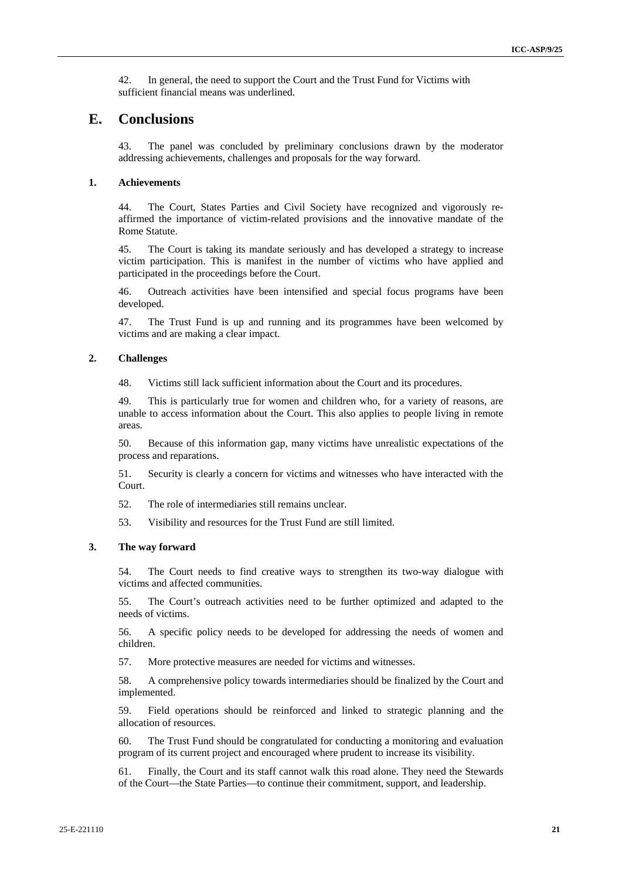42. In general, the need to support the Court and the Trust Fund for Victims with sufficient financial means was underlined.

## **E. Conclusions**

43. The panel was concluded by preliminary conclusions drawn by the moderator addressing achievements, challenges and proposals for the way forward.

#### **1. Achievements**

44. The Court, States Parties and Civil Society have recognized and vigorously reaffirmed the importance of victim-related provisions and the innovative mandate of the Rome Statute.

45. The Court is taking its mandate seriously and has developed a strategy to increase victim participation. This is manifest in the number of victims who have applied and participated in the proceedings before the Court.

46. Outreach activities have been intensified and special focus programs have been developed.

47. The Trust Fund is up and running and its programmes have been welcomed by victims and are making a clear impact.

### **2. Challenges**

48. Victims still lack sufficient information about the Court and its procedures.

49. This is particularly true for women and children who, for a variety of reasons, are unable to access information about the Court. This also applies to people living in remote areas.

50. Because of this information gap, many victims have unrealistic expectations of the process and reparations.

51. Security is clearly a concern for victims and witnesses who have interacted with the Court.

52. The role of intermediaries still remains unclear.

53. Visibility and resources for the Trust Fund are still limited.

#### **3. The way forward**

54. The Court needs to find creative ways to strengthen its two-way dialogue with victims and affected communities.

55. The Court's outreach activities need to be further optimized and adapted to the needs of victims.

56. A specific policy needs to be developed for addressing the needs of women and children.

57. More protective measures are needed for victims and witnesses.

58. A comprehensive policy towards intermediaries should be finalized by the Court and implemented.

59. Field operations should be reinforced and linked to strategic planning and the allocation of resources.

60. The Trust Fund should be congratulated for conducting a monitoring and evaluation program of its current project and encouraged where prudent to increase its visibility.

61. Finally, the Court and its staff cannot walk this road alone. They need the Stewards of the Court—the State Parties—to continue their commitment, support, and leadership.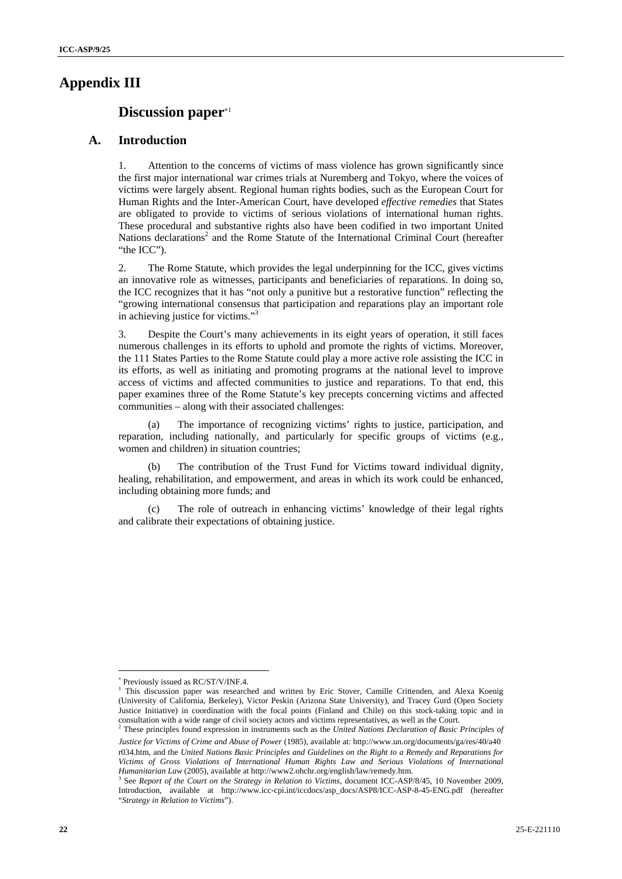### **Appendix III**

### **Discussion paper**<sup>\*1</sup>

### **A. Introduction**

1. Attention to the concerns of victims of mass violence has grown significantly since the first major international war crimes trials at Nuremberg and Tokyo, where the voices of victims were largely absent. Regional human rights bodies, such as the European Court for Human Rights and the Inter-American Court, have developed *effective remedies* that States are obligated to provide to victims of serious violations of international human rights. These procedural and substantive rights also have been codified in two important United Nations declarations<sup>2</sup> and the Rome Statute of the International Criminal Court (hereafter "the ICC".

2. The Rome Statute, which provides the legal underpinning for the ICC, gives victims an innovative role as witnesses, participants and beneficiaries of reparations. In doing so, the ICC recognizes that it has "not only a punitive but a restorative function" reflecting the "growing international consensus that participation and reparations play an important role in achieving justice for victims."3

3. Despite the Court's many achievements in its eight years of operation, it still faces numerous challenges in its efforts to uphold and promote the rights of victims. Moreover, the 111 States Parties to the Rome Statute could play a more active role assisting the ICC in its efforts, as well as initiating and promoting programs at the national level to improve access of victims and affected communities to justice and reparations. To that end, this paper examines three of the Rome Statute's key precepts concerning victims and affected communities – along with their associated challenges:

(a) The importance of recognizing victims' rights to justice, participation, and reparation, including nationally, and particularly for specific groups of victims (e.g., women and children) in situation countries;

The contribution of the Trust Fund for Victims toward individual dignity, healing, rehabilitation, and empowerment, and areas in which its work could be enhanced, including obtaining more funds; and

The role of outreach in enhancing victims' knowledge of their legal rights and calibrate their expectations of obtaining justice.

 Previously issued as RC/ST/V/INF.4.

<sup>&</sup>lt;sup>1</sup> This discussion paper was researched and written by Eric Stover, Camille Crittenden, and Alexa Koenig (University of California, Berkeley), Victor Peskin (Arizona State University), and Tracey Gurd (Open Society Justice Initiative) in coordination with the focal points (Finland and Chile) on this stock-taking topic and in consultation with a wide range of civil society actors and victims representatives, as well as the Court.<br><sup>2</sup> These principles found expression in instruments such as the *United Nations Declaration of Basic Principles of* 

*Justice for Victims of Crime and Abuse of Power* (1985), available at: http://www.un.org/documents/ga/res/40/a40 r034.htm, and the *United Nations Basic Principles and Guidelines on the Right to a Remedy and Reparations for Victims of Gross Violations of International Human Rights Law and Serious Violations of International Humanitarian Law* (2005), available at http://www2.ohchr.org/english/law/remedy.htm. 3

<sup>&</sup>lt;sup>3</sup> See *Report of the Court on the Strategy in Relation to Victims*, document ICC-ASP/8/45, 10 November 2009, Introduction, available at http://www.icc-cpi.int/iccdocs/asp\_docs/ASP8/ICC-ASP-8-45-ENG.pdf (hereafter "*Strategy in Relation to Victims*").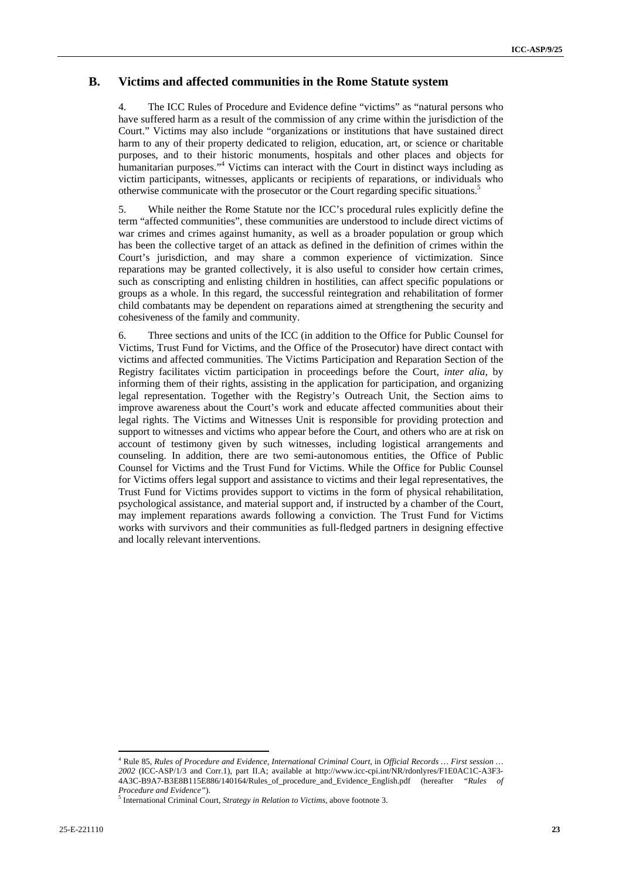### **B. Victims and affected communities in the Rome Statute system**

4. The ICC Rules of Procedure and Evidence define "victims" as "natural persons who have suffered harm as a result of the commission of any crime within the jurisdiction of the Court." Victims may also include "organizations or institutions that have sustained direct harm to any of their property dedicated to religion, education, art, or science or charitable purposes, and to their historic monuments, hospitals and other places and objects for humanitarian purposes."4 Victims can interact with the Court in distinct ways including as victim participants, witnesses, applicants or recipients of reparations, or individuals who otherwise communicate with the prosecutor or the Court regarding specific situations.<sup>5</sup>

5. While neither the Rome Statute nor the ICC's procedural rules explicitly define the term "affected communities", these communities are understood to include direct victims of war crimes and crimes against humanity, as well as a broader population or group which has been the collective target of an attack as defined in the definition of crimes within the Court's jurisdiction, and may share a common experience of victimization. Since reparations may be granted collectively, it is also useful to consider how certain crimes, such as conscripting and enlisting children in hostilities, can affect specific populations or groups as a whole. In this regard, the successful reintegration and rehabilitation of former child combatants may be dependent on reparations aimed at strengthening the security and cohesiveness of the family and community.

6. Three sections and units of the ICC (in addition to the Office for Public Counsel for Victims, Trust Fund for Victims, and the Office of the Prosecutor) have direct contact with victims and affected communities. The Victims Participation and Reparation Section of the Registry facilitates victim participation in proceedings before the Court, *inter alia*, by informing them of their rights, assisting in the application for participation, and organizing legal representation. Together with the Registry's Outreach Unit, the Section aims to improve awareness about the Court's work and educate affected communities about their legal rights. The Victims and Witnesses Unit is responsible for providing protection and support to witnesses and victims who appear before the Court, and others who are at risk on account of testimony given by such witnesses, including logistical arrangements and counseling. In addition, there are two semi-autonomous entities, the Office of Public Counsel for Victims and the Trust Fund for Victims. While the Office for Public Counsel for Victims offers legal support and assistance to victims and their legal representatives, the Trust Fund for Victims provides support to victims in the form of physical rehabilitation, psychological assistance, and material support and, if instructed by a chamber of the Court, may implement reparations awards following a conviction. The Trust Fund for Victims works with survivors and their communities as full-fledged partners in designing effective and locally relevant interventions.

 4 Rule 85, *Rules of Procedure and Evidence, International Criminal Court*, in *Official Records … First session … 2002* (ICC-ASP/1/3 and Corr.1), part II.A; available at http://www.icc-cpi.int/NR/rdonlyres/F1E0AC1C-A3F3- 4A3C-B9A7-B3E8B115E886/140164/Rules\_of\_procedure\_and\_Evidence\_English.pdf (hereafter *"Rules of Procedure and Evidence"*).

<sup>&</sup>lt;sup>5</sup> International Criminal Court, *Strategy in Relation to Victims*, above footnote 3.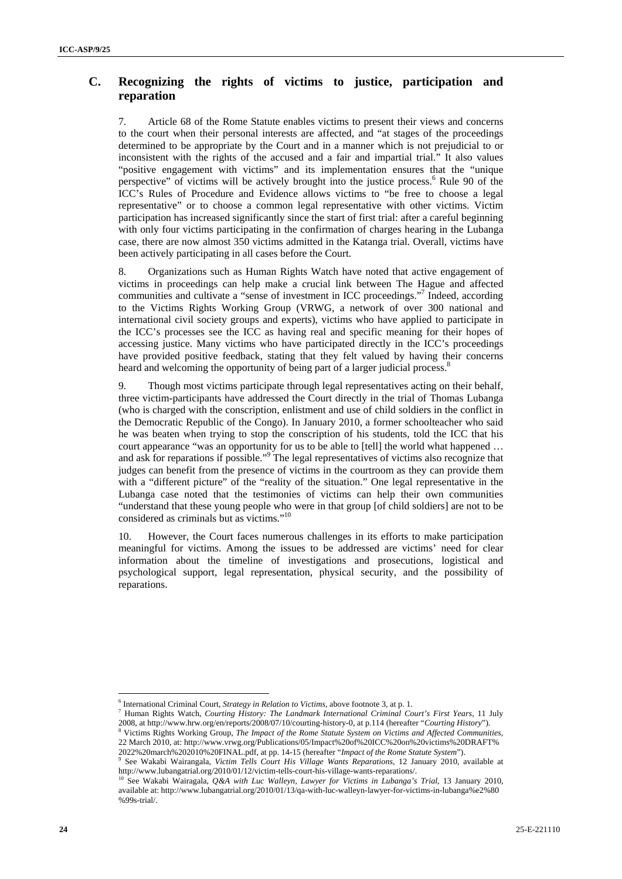## **C. Recognizing the rights of victims to justice, participation and reparation**

7. Article 68 of the Rome Statute enables victims to present their views and concerns to the court when their personal interests are affected, and "at stages of the proceedings determined to be appropriate by the Court and in a manner which is not prejudicial to or inconsistent with the rights of the accused and a fair and impartial trial." It also values "positive engagement with victims" and its implementation ensures that the "unique perspective" of victims will be actively brought into the justice process.<sup>6</sup> Rule 90 of the ICC's Rules of Procedure and Evidence allows victims to "be free to choose a legal representative" or to choose a common legal representative with other victims. Victim participation has increased significantly since the start of first trial: after a careful beginning with only four victims participating in the confirmation of charges hearing in the Lubanga case, there are now almost 350 victims admitted in the Katanga trial. Overall, victims have been actively participating in all cases before the Court.

8. Organizations such as Human Rights Watch have noted that active engagement of victims in proceedings can help make a crucial link between The Hague and affected communities and cultivate a "sense of investment in ICC proceedings."<sup>7</sup> Indeed, according to the Victims Rights Working Group (VRWG, a network of over 300 national and international civil society groups and experts), victims who have applied to participate in the ICC's processes see the ICC as having real and specific meaning for their hopes of accessing justice. Many victims who have participated directly in the ICC's proceedings have provided positive feedback, stating that they felt valued by having their concerns heard and welcoming the opportunity of being part of a larger judicial process.<sup>8</sup>

9. Though most victims participate through legal representatives acting on their behalf, three victim-participants have addressed the Court directly in the trial of Thomas Lubanga (who is charged with the conscription, enlistment and use of child soldiers in the conflict in the Democratic Republic of the Congo). In January 2010, a former schoolteacher who said he was beaten when trying to stop the conscription of his students, told the ICC that his court appearance "was an opportunity for us to be able to [tell] the world what happened … and ask for reparations if possible."<sup>9</sup> The legal representatives of victims also recognize that judges can benefit from the presence of victims in the courtroom as they can provide them with a "different picture" of the "reality of the situation." One legal representative in the Lubanga case noted that the testimonies of victims can help their own communities "understand that these young people who were in that group [of child soldiers] are not to be considered as criminals but as victims."10

10. However, the Court faces numerous challenges in its efforts to make participation meaningful for victims. Among the issues to be addressed are victims' need for clear information about the timeline of investigations and prosecutions, logistical and psychological support, legal representation, physical security, and the possibility of reparations.

<sup>&</sup>lt;sup>6</sup> International Criminal Court, *Strategy in Relation to Victims*, above footnote 3, at p. 1.<br><sup>7</sup> Unper Pickte Wetch, *Courting Wistony The Landwerk Istamational Criminal Co.* 

<sup>&</sup>lt;sup>7</sup> Human Rights Watch, *Courting History: The Landmark International Criminal Court's First Years*, 11 July 2008, at http://www.hrw.org/en/reports/2008/07/10/courting-history-0, at p.114 (hereafter "*Courting History*"). 8

Victims Rights Working Group, *The Impact of the Rome Statute System on Victims and Affected Communities*, 22 March 2010, at: http://www.vrwg.org/Publications/05/Impact%20of%20ICC%20on%20victims%20DRAFT%

<sup>2022%20</sup>march%202010%20FINAL.pdf, at pp. 14-15 (hereafter "*Impact of the Rome Statute System*"). 9 See Wakabi Wairangala, *Victim Tells Court His Village Wants Reparations*, 12 January 2010, available at http://www.lubangatrial.org/2010/01/12/victim-tells-court-his-village-wants-reparations/. 10 See Wakabi Wairagala, *Q&A with Luc Walleyn, Lawyer for Victims in Lubanga's Trial*, 13 January 2010,

available at: http://www.lubangatrial.org/2010/01/13/qa-with-luc-walleyn-lawyer-for-victims-in-lubanga%e2%80 %99s-trial/.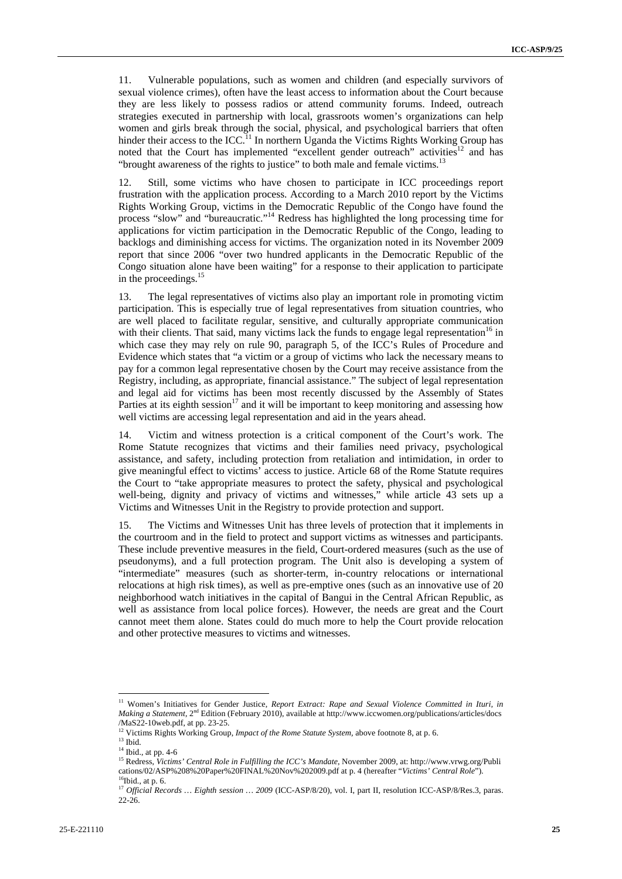11. Vulnerable populations, such as women and children (and especially survivors of sexual violence crimes), often have the least access to information about the Court because they are less likely to possess radios or attend community forums. Indeed, outreach strategies executed in partnership with local, grassroots women's organizations can help women and girls break through the social, physical, and psychological barriers that often hinder their access to the ICC.<sup>11</sup> In northern Uganda the Victims Rights Working Group has noted that the Court has implemented "excellent gender outreach" activities<sup>12</sup> and has "brought awareness of the rights to justice" to both male and female victims.<sup>13</sup>

12. Still, some victims who have chosen to participate in ICC proceedings report frustration with the application process. According to a March 2010 report by the Victims Rights Working Group, victims in the Democratic Republic of the Congo have found the process "slow" and "bureaucratic."14 Redress has highlighted the long processing time for applications for victim participation in the Democratic Republic of the Congo, leading to backlogs and diminishing access for victims. The organization noted in its November 2009 report that since 2006 "over two hundred applicants in the Democratic Republic of the Congo situation alone have been waiting" for a response to their application to participate in the proceedings.<sup>15</sup>

13. The legal representatives of victims also play an important role in promoting victim participation. This is especially true of legal representatives from situation countries, who are well placed to facilitate regular, sensitive, and culturally appropriate communication with their clients. That said, many victims lack the funds to engage legal representation<sup>16</sup> in which case they may rely on rule 90, paragraph 5, of the ICC's Rules of Procedure and Evidence which states that "a victim or a group of victims who lack the necessary means to pay for a common legal representative chosen by the Court may receive assistance from the Registry, including, as appropriate, financial assistance." The subject of legal representation and legal aid for victims has been most recently discussed by the Assembly of States Parties at its eighth session $17$  and it will be important to keep monitoring and assessing how well victims are accessing legal representation and aid in the years ahead.

14. Victim and witness protection is a critical component of the Court's work. The Rome Statute recognizes that victims and their families need privacy, psychological assistance, and safety, including protection from retaliation and intimidation, in order to give meaningful effect to victims' access to justice. Article 68 of the Rome Statute requires the Court to "take appropriate measures to protect the safety, physical and psychological well-being, dignity and privacy of victims and witnesses," while article 43 sets up a Victims and Witnesses Unit in the Registry to provide protection and support.

15. The Victims and Witnesses Unit has three levels of protection that it implements in the courtroom and in the field to protect and support victims as witnesses and participants. These include preventive measures in the field, Court-ordered measures (such as the use of pseudonyms), and a full protection program. The Unit also is developing a system of "intermediate" measures (such as shorter-term, in-country relocations or international relocations at high risk times), as well as pre-emptive ones (such as an innovative use of 20 neighborhood watch initiatives in the capital of Bangui in the Central African Republic, as well as assistance from local police forces). However, the needs are great and the Court cannot meet them alone. States could do much more to help the Court provide relocation and other protective measures to victims and witnesses.

<sup>&</sup>lt;sup>11</sup> Women's Initiatives for Gender Justice, *Report Extract: Rape and Sexual Violence Committed in Ituri, in Making a Statement,* 2nd Edition (February 2010), available at http://www.iccwomen.org/publications/articles/docs /MaS22-10web.pdf, at pp. 23-25.

<sup>&</sup>lt;sup>12</sup> Victims Rights Working Group, *Impact of the Rome Statute System*, above footnote 8, at p. 6.<br><sup>13</sup> Ibid.

<sup>&</sup>lt;sup>14</sup> Ibid., at pp. 4-6

<sup>15</sup> Redress, *Victims' Central Role in Fulfilling the ICC's Mandate*, November 2009, at: http://www.vrwg.org/Publi cations/02/ASP%208%20Paper%20FINAL%20Nov%202009.pdf at p. 4 (hereafter "*Victims' Central Role*"). 16Ibid., at p. 6.

<sup>&</sup>lt;sup>17</sup> Official Records ... Eighth session ... 2009 (ICC-ASP/8/20), vol. I, part II, resolution ICC-ASP/8/Res.3, paras. 22-26.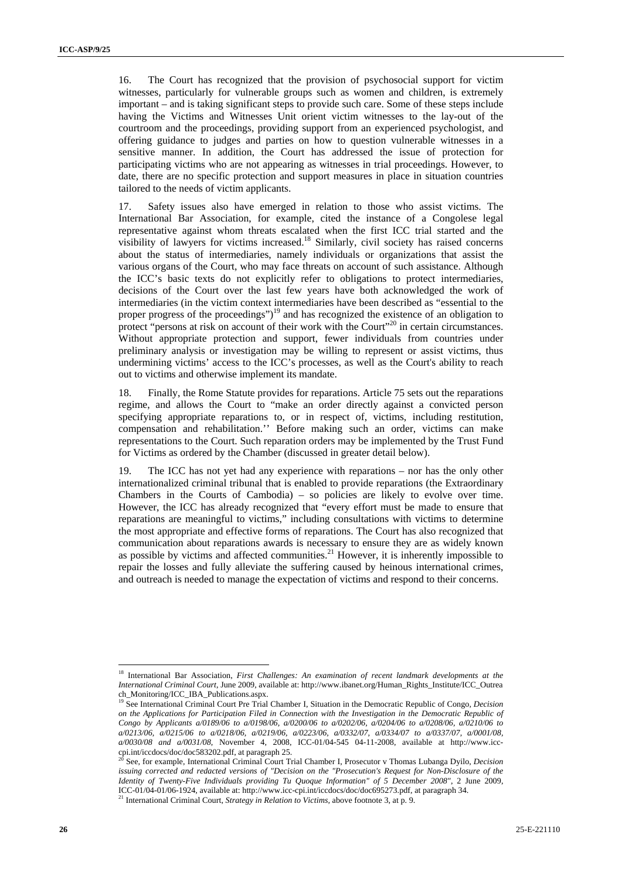16. The Court has recognized that the provision of psychosocial support for victim witnesses, particularly for vulnerable groups such as women and children, is extremely important – and is taking significant steps to provide such care. Some of these steps include having the Victims and Witnesses Unit orient victim witnesses to the lay-out of the courtroom and the proceedings, providing support from an experienced psychologist, and offering guidance to judges and parties on how to question vulnerable witnesses in a sensitive manner. In addition, the Court has addressed the issue of protection for participating victims who are not appearing as witnesses in trial proceedings. However, to date, there are no specific protection and support measures in place in situation countries tailored to the needs of victim applicants.

17. Safety issues also have emerged in relation to those who assist victims. The International Bar Association, for example, cited the instance of a Congolese legal representative against whom threats escalated when the first ICC trial started and the visibility of lawyers for victims increased.18 Similarly, civil society has raised concerns about the status of intermediaries, namely individuals or organizations that assist the various organs of the Court, who may face threats on account of such assistance. Although the ICC's basic texts do not explicitly refer to obligations to protect intermediaries, decisions of the Court over the last few years have both acknowledged the work of intermediaries (in the victim context intermediaries have been described as "essential to the proper progress of the proceedings")<sup>19</sup> and has recognized the existence of an obligation to protect "persons at risk on account of their work with the Court"<sup>20</sup> in certain circumstances. Without appropriate protection and support, fewer individuals from countries under preliminary analysis or investigation may be willing to represent or assist victims, thus undermining victims' access to the ICC's processes, as well as the Court's ability to reach out to victims and otherwise implement its mandate.

18. Finally, the Rome Statute provides for reparations. Article 75 sets out the reparations regime, and allows the Court to "make an order directly against a convicted person specifying appropriate reparations to, or in respect of, victims, including restitution, compensation and rehabilitation.'' Before making such an order, victims can make representations to the Court. Such reparation orders may be implemented by the Trust Fund for Victims as ordered by the Chamber (discussed in greater detail below).

19. The ICC has not yet had any experience with reparations – nor has the only other internationalized criminal tribunal that is enabled to provide reparations (the Extraordinary Chambers in the Courts of Cambodia) – so policies are likely to evolve over time. However, the ICC has already recognized that "every effort must be made to ensure that reparations are meaningful to victims," including consultations with victims to determine the most appropriate and effective forms of reparations. The Court has also recognized that communication about reparations awards is necessary to ensure they are as widely known as possible by victims and affected communities.<sup>21</sup> However, it is inherently impossible to repair the losses and fully alleviate the suffering caused by heinous international crimes, and outreach is needed to manage the expectation of victims and respond to their concerns.

<sup>18</sup> International Bar Association, *First Challenges: An examination of recent landmark developments at the International Criminal Court*, June 2009, available at: http://www.ibanet.org/Human\_Rights\_Institute/ICC\_Outrea ch\_Monitoring/ICC\_IBA\_Publications.aspx.

<sup>19</sup> See International Criminal Court Pre Trial Chamber I, Situation in the Democratic Republic of Congo*, Decision on the Applications for Participation Filed in Connection with the Investigation in the Democratic Republic of Congo by Applicants a/0189/06 to a/0198/06, a/0200/06 to a/0202/06, a/0204/06 to a/0208/06, a/0210/06 to a/0213/06, a/0215/06 to a/0218/06, a/0219/06, a/0223/06, a/0332/07, a/0334/07 to a/0337/07, a/0001/08, a/0030/08 and a/0031/08*, November 4, 2008, ICC-01/04-545 04-11-2008, available at http://www.icccpi.int/iccdocs/doc/doc583202.pdf, at paragraph 25.

<sup>20</sup> See, for example, International Criminal Court Trial Chamber I, Prosecutor v Thomas Lubanga Dyilo, *Decision issuing corrected and redacted versions of "Decision on the "Prosecution's Request for Non-Disclosure of the Identity of Twenty-Five Individuals providing Tu Quoque Information" of 5 December 2008"*, 2 June 2009, ICC-01/04-01/06-1924, available at: http://www.icc-cpi.int/iccdocs/doc/doc695273.pdf, at paragraph 34. 21 International Criminal Court, *Strategy in Relation to Victims,* above footnote 3, at p. 9.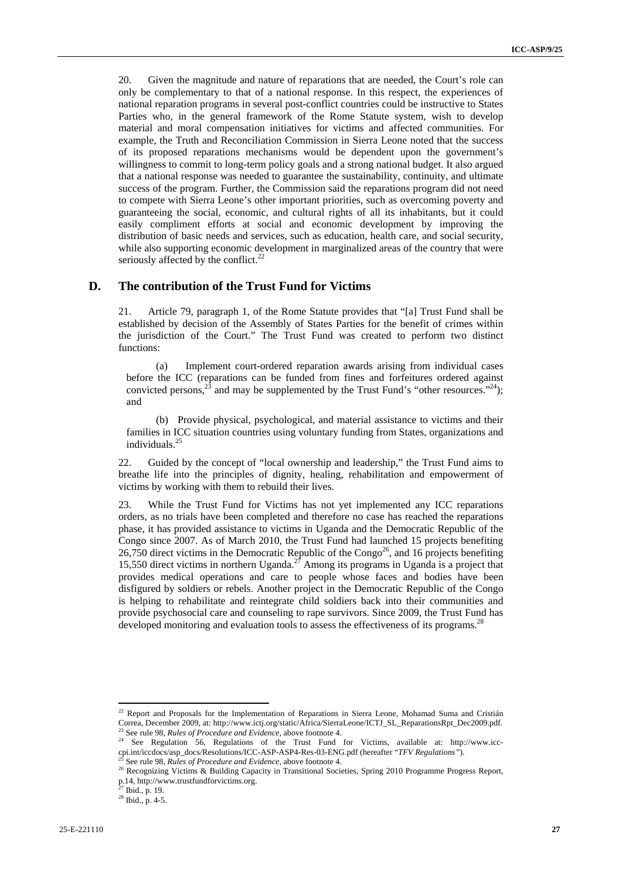20. Given the magnitude and nature of reparations that are needed, the Court's role can only be complementary to that of a national response. In this respect, the experiences of national reparation programs in several post-conflict countries could be instructive to States Parties who, in the general framework of the Rome Statute system, wish to develop material and moral compensation initiatives for victims and affected communities. For example, the Truth and Reconciliation Commission in Sierra Leone noted that the success of its proposed reparations mechanisms would be dependent upon the government's willingness to commit to long-term policy goals and a strong national budget. It also argued that a national response was needed to guarantee the sustainability, continuity, and ultimate success of the program. Further, the Commission said the reparations program did not need to compete with Sierra Leone's other important priorities, such as overcoming poverty and guaranteeing the social, economic, and cultural rights of all its inhabitants, but it could easily compliment efforts at social and economic development by improving the distribution of basic needs and services, such as education, health care, and social security, while also supporting economic development in marginalized areas of the country that were seriously affected by the conflict. $^{22}$ 

### **D. The contribution of the Trust Fund for Victims**

21. Article 79, paragraph 1, of the Rome Statute provides that "[a] Trust Fund shall be established by decision of the Assembly of States Parties for the benefit of crimes within the jurisdiction of the Court." The Trust Fund was created to perform two distinct functions:

(a) Implement court-ordered reparation awards arising from individual cases before the ICC (reparations can be funded from fines and forfeitures ordered against convicted persons,  $^{23}$  and may be supplemented by the Trust Fund's "other resources."<sup>24</sup>); and

(b) Provide physical, psychological, and material assistance to victims and their families in ICC situation countries using voluntary funding from States, organizations and individuals.25

22. Guided by the concept of "local ownership and leadership," the Trust Fund aims to breathe life into the principles of dignity, healing, rehabilitation and empowerment of victims by working with them to rebuild their lives.

23. While the Trust Fund for Victims has not yet implemented any ICC reparations orders, as no trials have been completed and therefore no case has reached the reparations phase, it has provided assistance to victims in Uganda and the Democratic Republic of the Congo since 2007. As of March 2010, the Trust Fund had launched 15 projects benefiting 26,750 direct victims in the Democratic Republic of the Congo<sup>26</sup>, and 16 projects benefiting 15,550 direct victims in northern Uganda.<sup>27</sup> Among its programs in Uganda is a project that provides medical operations and care to people whose faces and bodies have been disfigured by soldiers or rebels. Another project in the Democratic Republic of the Congo is helping to rehabilitate and reintegrate child soldiers back into their communities and provide psychosocial care and counseling to rape survivors. Since 2009, the Trust Fund has developed monitoring and evaluation tools to assess the effectiveness of its programs.<sup>28</sup>

<sup>&</sup>lt;sup>22</sup> Report and Proposals for the Implementation of Reparations in Sierra Leone, Mohamad Suma and Cristián Correa, December 2009, at: http://www.ictj.org/static/Africa/SierraLeone/ICTJ\_SL\_ReparationsRpt\_Dec2009.pdf.

<sup>&</sup>lt;sup>23</sup> See rule 98, *Rules of Procedure and Evidence*, above footnote 4.<br><sup>24</sup> See Regulation 56, Regulations of the Trust Fund for Victims, available at: http://www.icc-<br>cpi.int/iccdocs/asp\_docs/Resolutions/ICC-ASP-ASP4-Res

<sup>&</sup>lt;sup>25</sup> See rule 98, *Rules of Procedure and Evidence*, above footnote 4.<br><sup>26</sup> Recognizing Victims & Building Capacity in Transitional Societies, Spring 2010 Programme Progress Report, p.14, http://www.trustfundforvictims.org.

 $27$  Ibid., p. 19.

<sup>28</sup> Ibid., p. 4-5.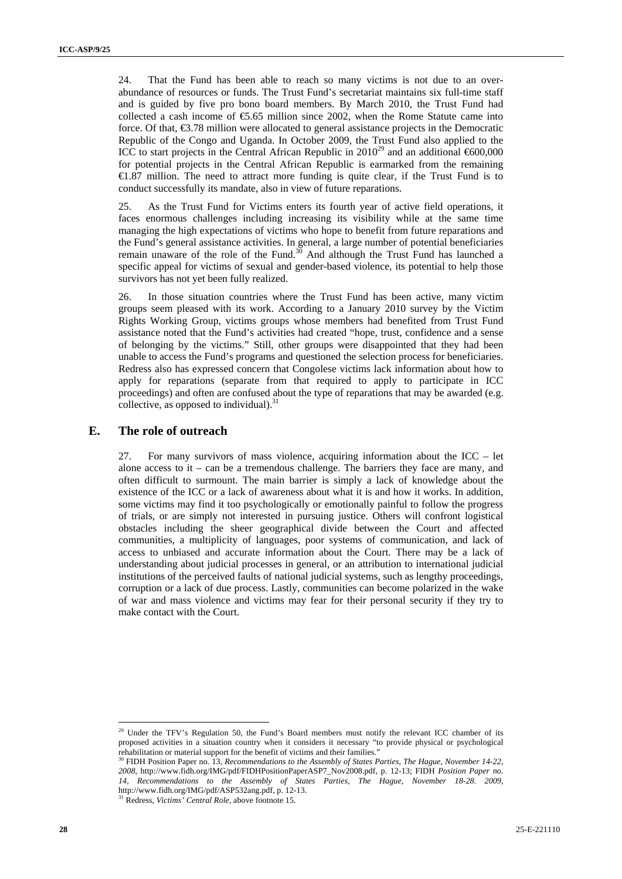24. That the Fund has been able to reach so many victims is not due to an overabundance of resources or funds. The Trust Fund's secretariat maintains six full-time staff and is guided by five pro bono board members. By March 2010, the Trust Fund had collected a cash income of  $\epsilon$ 5.65 million since 2002, when the Rome Statute came into force. Of that,  $\epsilon$ 3.78 million were allocated to general assistance projects in the Democratic Republic of the Congo and Uganda. In October 2009, the Trust Fund also applied to the ICC to start projects in the Central African Republic in  $2010^{29}$  and an additional  $600,000$ for potential projects in the Central African Republic is earmarked from the remaining €1.87 million. The need to attract more funding is quite clear, if the Trust Fund is to conduct successfully its mandate, also in view of future reparations.

25. As the Trust Fund for Victims enters its fourth year of active field operations, it faces enormous challenges including increasing its visibility while at the same time managing the high expectations of victims who hope to benefit from future reparations and the Fund's general assistance activities. In general, a large number of potential beneficiaries remain unaware of the role of the Fund. $30$  And although the Trust Fund has launched a specific appeal for victims of sexual and gender-based violence, its potential to help those survivors has not yet been fully realized.

26. In those situation countries where the Trust Fund has been active, many victim groups seem pleased with its work. According to a January 2010 survey by the Victim Rights Working Group, victims groups whose members had benefited from Trust Fund assistance noted that the Fund's activities had created "hope, trust, confidence and a sense of belonging by the victims." Still, other groups were disappointed that they had been unable to access the Fund's programs and questioned the selection process for beneficiaries. Redress also has expressed concern that Congolese victims lack information about how to apply for reparations (separate from that required to apply to participate in ICC proceedings) and often are confused about the type of reparations that may be awarded (e.g. collective, as opposed to individual). $31$ 

### **E. The role of outreach**

27. For many survivors of mass violence, acquiring information about the ICC – let alone access to it – can be a tremendous challenge. The barriers they face are many, and often difficult to surmount. The main barrier is simply a lack of knowledge about the existence of the ICC or a lack of awareness about what it is and how it works. In addition, some victims may find it too psychologically or emotionally painful to follow the progress of trials, or are simply not interested in pursuing justice. Others will confront logistical obstacles including the sheer geographical divide between the Court and affected communities, a multiplicity of languages, poor systems of communication, and lack of access to unbiased and accurate information about the Court. There may be a lack of understanding about judicial processes in general, or an attribution to international judicial institutions of the perceived faults of national judicial systems, such as lengthy proceedings, corruption or a lack of due process. Lastly, communities can become polarized in the wake of war and mass violence and victims may fear for their personal security if they try to make contact with the Court.

 $^{29}$  Under the TFV's Regulation 50, the Fund's Board members must notify the relevant ICC chamber of its proposed activities in a situation country when it considers it necessary "to provide physical or psychological rehabilitation or material support for the benefit of victims and their families." 30 FIDH Position Paper no. 13, *Recommendations to the Assembly of States Parties*, *The Hague, November 14-22,* 

*<sup>2008</sup>*, http://www.fidh.org/IMG/pdf/FIDHPositionPaperASP7\_Nov2008.pdf, p. 12-13; FIDH *Position Paper no. 14, Recommendations to the Assembly of States Parties, The Hague, November 18-28. 2009,* http://www.fidh.org/IMG/pdf/ASP532ang.pdf, p. 12-13. 31 Redress, *Victims' Central Role,* above footnote 15.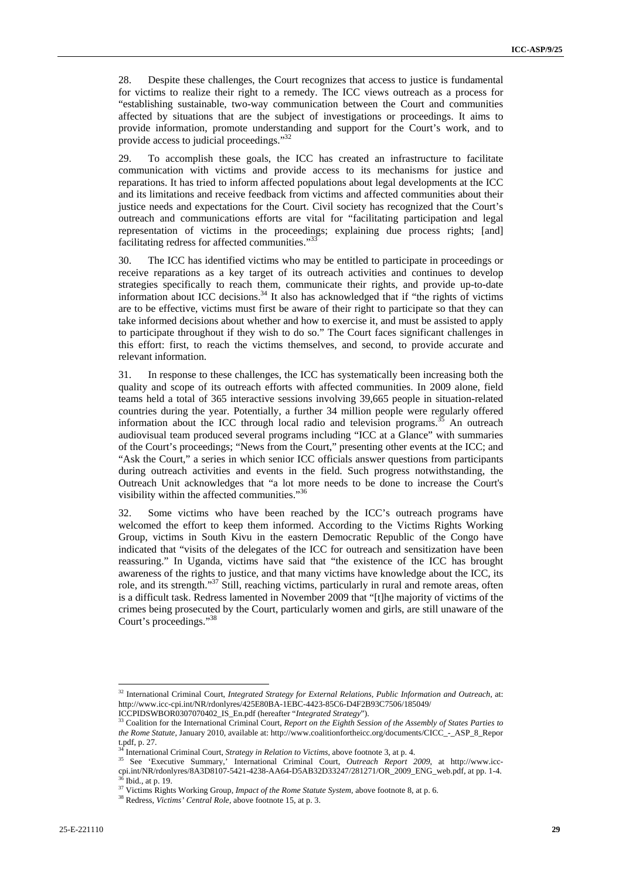28. Despite these challenges, the Court recognizes that access to justice is fundamental for victims to realize their right to a remedy. The ICC views outreach as a process for "establishing sustainable, two-way communication between the Court and communities affected by situations that are the subject of investigations or proceedings. It aims to provide information, promote understanding and support for the Court's work, and to provide access to judicial proceedings."32

29. To accomplish these goals, the ICC has created an infrastructure to facilitate communication with victims and provide access to its mechanisms for justice and reparations. It has tried to inform affected populations about legal developments at the ICC and its limitations and receive feedback from victims and affected communities about their justice needs and expectations for the Court. Civil society has recognized that the Court's outreach and communications efforts are vital for "facilitating participation and legal representation of victims in the proceedings; explaining due process rights; [and] facilitating redress for affected communities."<sup>33</sup>

30. The ICC has identified victims who may be entitled to participate in proceedings or receive reparations as a key target of its outreach activities and continues to develop strategies specifically to reach them, communicate their rights, and provide up-to-date information about ICC decisions. $34$  It also has acknowledged that if "the rights of victims are to be effective, victims must first be aware of their right to participate so that they can take informed decisions about whether and how to exercise it, and must be assisted to apply to participate throughout if they wish to do so." The Court faces significant challenges in this effort: first, to reach the victims themselves, and second, to provide accurate and relevant information.

31. In response to these challenges, the ICC has systematically been increasing both the quality and scope of its outreach efforts with affected communities. In 2009 alone, field teams held a total of 365 interactive sessions involving 39,665 people in situation-related countries during the year. Potentially, a further 34 million people were regularly offered information about the ICC through local radio and television programs.<sup>35</sup> An outreach audiovisual team produced several programs including "ICC at a Glance" with summaries of the Court's proceedings; "News from the Court," presenting other events at the ICC; and "Ask the Court," a series in which senior ICC officials answer questions from participants during outreach activities and events in the field. Such progress notwithstanding, the Outreach Unit acknowledges that "a lot more needs to be done to increase the Court's visibility within the affected communities."36

32. Some victims who have been reached by the ICC's outreach programs have welcomed the effort to keep them informed. According to the Victims Rights Working Group, victims in South Kivu in the eastern Democratic Republic of the Congo have indicated that "visits of the delegates of the ICC for outreach and sensitization have been reassuring." In Uganda, victims have said that "the existence of the ICC has brought awareness of the rights to justice, and that many victims have knowledge about the ICC, its role, and its strength."37 Still, reaching victims, particularly in rural and remote areas, often is a difficult task. Redress lamented in November 2009 that "[t]he majority of victims of the crimes being prosecuted by the Court, particularly women and girls, are still unaware of the Court's proceedings."38

<sup>32</sup> International Criminal Court, *Integrated Strategy for External Relations, Public Information and Outreach*, at: http://www.icc-cpi.int/NR/rdonlyres/425E80BA-1EBC-4423-85C6-D4F2B93C7506/185049/<br>ICCPIDSWBOR0307070402\_IS\_En.pdf (hereafter "Integrated Strategy").

<sup>&</sup>lt;sup>33</sup> Coalition for the International Criminal Court, *Report on the Eighth Session of the Assembly of States Parties to the Rome Statute*, January 2010, available at: http://www.coalitionfortheicc.org/documents/CICC\_-\_ASP\_8\_Repor t.pdf, p. 27.

<sup>&</sup>lt;sup>34</sup> International Criminal Court, *Strategy in Relation to Victims*, above footnote 3, at p. 4.<br><sup>35</sup> See 'Executive Summary,' International Criminal Court, *Outreach Report 2009*, at http://www.icccpi.int/NR/rdonlyres/8A3D8107-5421-4238-AA64-D5AB32D33247/281271/OR\_2009\_ENG\_web.pdf, at pp. 1-4. 36 Ibid., at p. 19.

<sup>37</sup> Victims Rights Working Group, *Impact of the Rome Statute System,* above footnote 8, at p. 6. 38 Redress, *Victims' Central Role,* above footnote 15, at p. 3.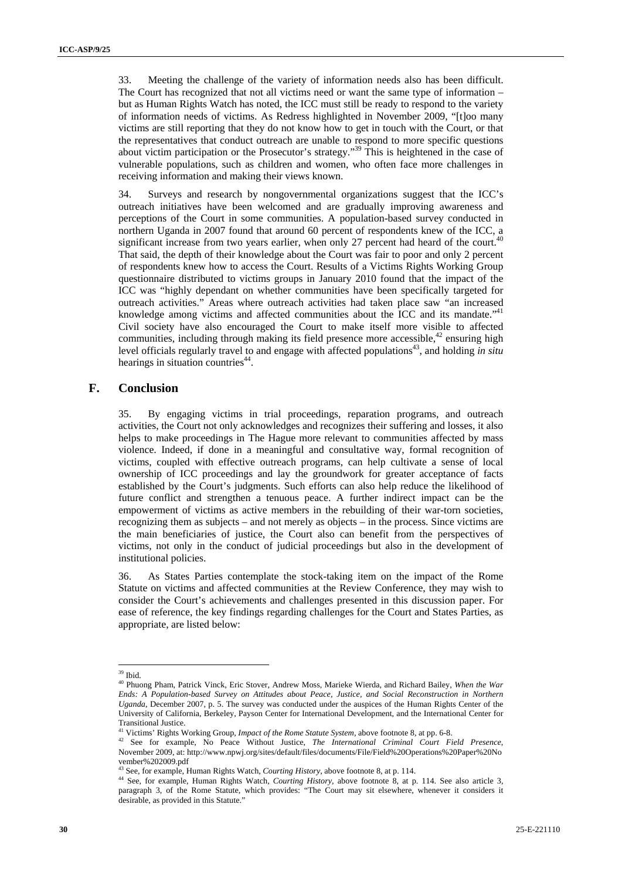33. Meeting the challenge of the variety of information needs also has been difficult. The Court has recognized that not all victims need or want the same type of information – but as Human Rights Watch has noted, the ICC must still be ready to respond to the variety of information needs of victims. As Redress highlighted in November 2009, "[t]oo many victims are still reporting that they do not know how to get in touch with the Court, or that the representatives that conduct outreach are unable to respond to more specific questions about victim participation or the Prosecutor's strategy."39 This is heightened in the case of vulnerable populations, such as children and women, who often face more challenges in receiving information and making their views known.

34. Surveys and research by nongovernmental organizations suggest that the ICC's outreach initiatives have been welcomed and are gradually improving awareness and perceptions of the Court in some communities. A population-based survey conducted in northern Uganda in 2007 found that around 60 percent of respondents knew of the ICC, a significant increase from two years earlier, when only 27 percent had heard of the court.<sup>40</sup> That said, the depth of their knowledge about the Court was fair to poor and only 2 percent of respondents knew how to access the Court. Results of a Victims Rights Working Group questionnaire distributed to victims groups in January 2010 found that the impact of the ICC was "highly dependant on whether communities have been specifically targeted for outreach activities." Areas where outreach activities had taken place saw "an increased knowledge among victims and affected communities about the ICC and its mandate."<sup>41</sup> Civil society have also encouraged the Court to make itself more visible to affected communities, including through making its field presence more accessible,  $42$  ensuring high level officials regularly travel to and engage with affected populations<sup>43</sup>, and holding *in situ* hearings in situation countries<sup>44</sup>.

### **F. Conclusion**

35. By engaging victims in trial proceedings, reparation programs, and outreach activities, the Court not only acknowledges and recognizes their suffering and losses, it also helps to make proceedings in The Hague more relevant to communities affected by mass violence. Indeed, if done in a meaningful and consultative way, formal recognition of victims, coupled with effective outreach programs, can help cultivate a sense of local ownership of ICC proceedings and lay the groundwork for greater acceptance of facts established by the Court's judgments. Such efforts can also help reduce the likelihood of future conflict and strengthen a tenuous peace. A further indirect impact can be the empowerment of victims as active members in the rebuilding of their war-torn societies, recognizing them as subjects – and not merely as objects – in the process. Since victims are the main beneficiaries of justice, the Court also can benefit from the perspectives of victims, not only in the conduct of judicial proceedings but also in the development of institutional policies.

36. As States Parties contemplate the stock-taking item on the impact of the Rome Statute on victims and affected communities at the Review Conference, they may wish to consider the Court's achievements and challenges presented in this discussion paper. For ease of reference, the key findings regarding challenges for the Court and States Parties, as appropriate, are listed below:

 $39$  Ibid.

<sup>40</sup> Phuong Pham, Patrick Vinck, Eric Stover, Andrew Moss, Marieke Wierda, and Richard Bailey, *When the War Ends: A Population-based Survey on Attitudes about Peace, Justice, and Social Reconstruction in Northern Uganda*, December 2007, p. 5. The survey was conducted under the auspices of the Human Rights Center of the University of California, Berkeley, Payson Center for International Development, and the International Center for Transitional Justice.<br><sup>41</sup> Victims' Rights Working Group, *Impact of the Rome Statute System*, above footnote 8, at pp. 6-8.

<sup>41</sup> Victims' Rights Working Group, *Impact of the Rome Statute System,* above footnote 8, at pp. 6-8. 42 See for example, No Peace Without Justice, *The International Criminal Court Field Presence*, November 2009, at: http://www.npwj.org/sites/default/files/documents/File/Field%20Operations%20Paper%20No vember%202009.pdf<br><sup>43</sup> See, for example, Human Rights Watch, *Courting History*, above footnote 8, at p. 114.

<sup>&</sup>lt;sup>43</sup> See, for example, Human Rights Watch, *Courting History*, above footnote 8, at p. 114. See also article 3, <sup>44</sup> See, for example, Human Rights Watch, *Courting History*, above footnote 8, at p. 114. See also article 3 paragraph 3, of the Rome Statute, which provides: "The Court may sit elsewhere, whenever it considers it desirable, as provided in this Statute."